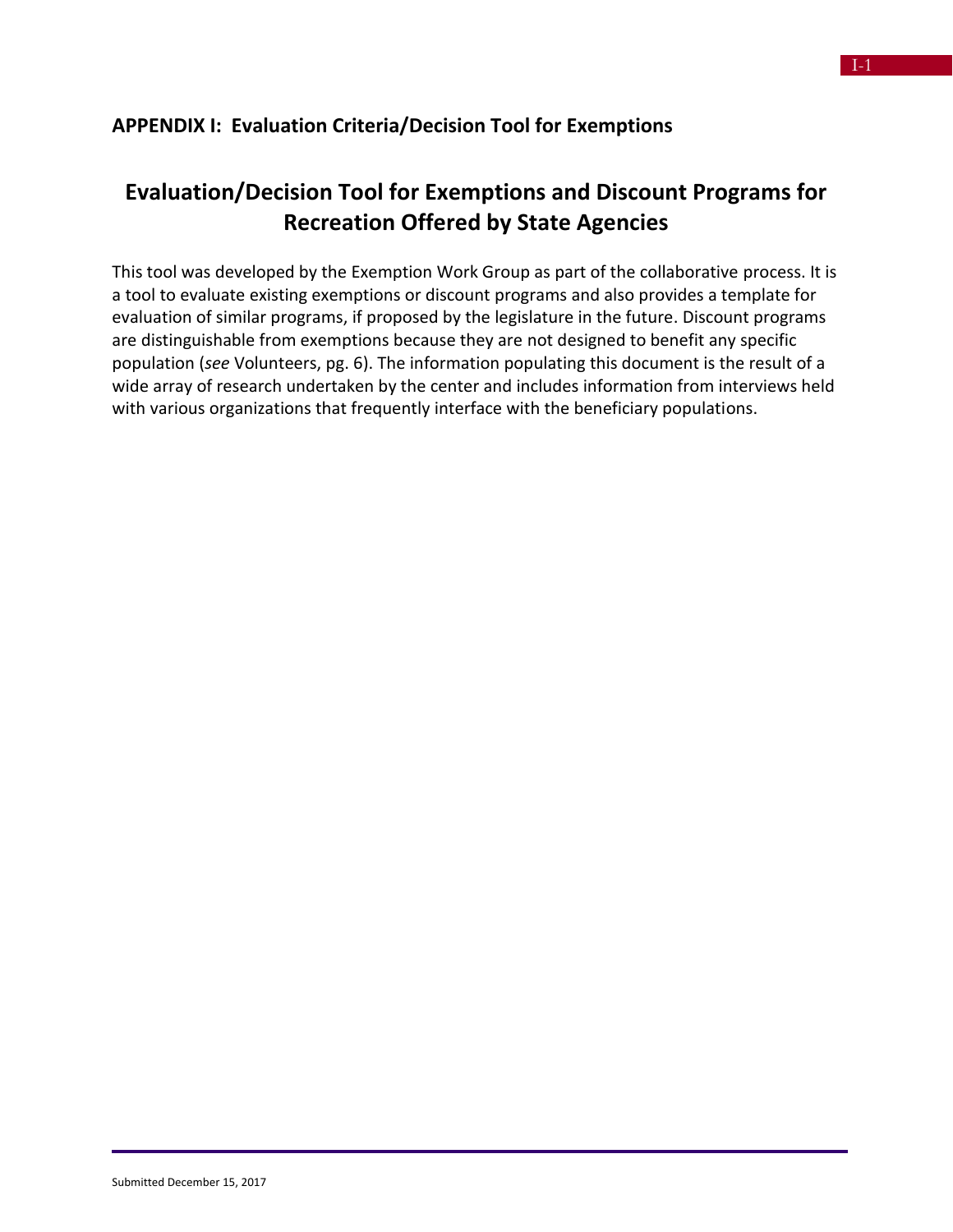#### **APPENDIX I: Evaluation Criteria/Decision Tool for Exemptions**

#### **Evaluation/Decision Tool for Exemptions and Discount Programs for Recreation Offered by State Agencies**

This tool was developed by the Exemption Work Group as part of the collaborative process. It is a tool to evaluate existing exemptions or discount programs and also provides a template for evaluation of similar programs, if proposed by the legislature in the future. Discount programs are distinguishable from exemptions because they are not designed to benefit any specific population (*see* Volunteers, pg. 6). The information populating this document is the result of a wide array of research undertaken by the center and includes information from interviews held with various organizations that frequently interface with the beneficiary populations.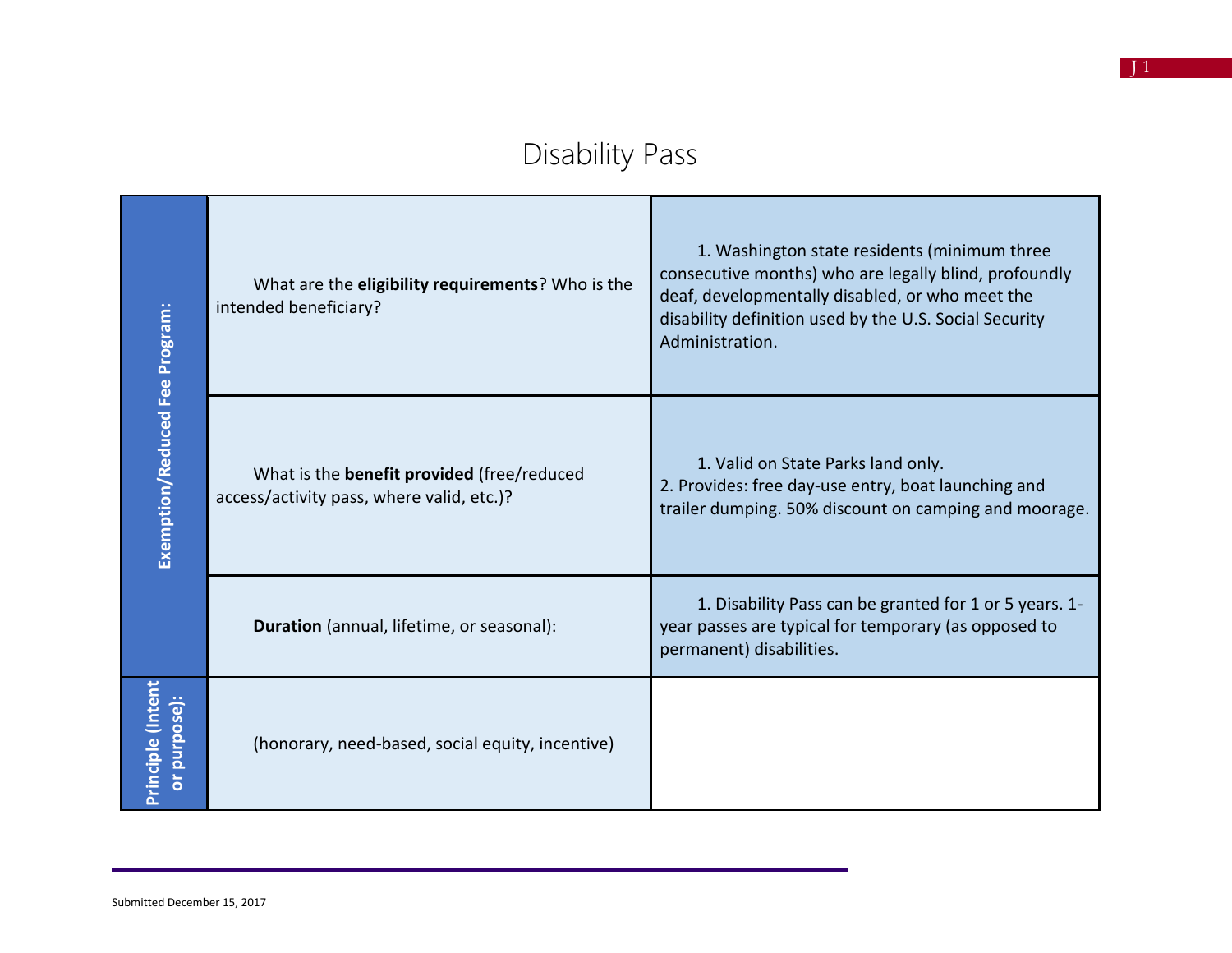## Disability Pass

|                                   | What are the eligibility requirements? Who is the<br>intended beneficiary?                     | 1. Washington state residents (minimum three<br>consecutive months) who are legally blind, profoundly<br>deaf, developmentally disabled, or who meet the<br>disability definition used by the U.S. Social Security<br>Administration. |
|-----------------------------------|------------------------------------------------------------------------------------------------|---------------------------------------------------------------------------------------------------------------------------------------------------------------------------------------------------------------------------------------|
| Exemption/Reduced Fee Program:    | What is the <b>benefit provided</b> (free/reduced<br>access/activity pass, where valid, etc.)? | 1. Valid on State Parks land only.<br>2. Provides: free day-use entry, boat launching and<br>trailer dumping. 50% discount on camping and moorage.                                                                                    |
|                                   | Duration (annual, lifetime, or seasonal):                                                      | 1. Disability Pass can be granted for 1 or 5 years. 1-<br>year passes are typical for temporary (as opposed to<br>permanent) disabilities.                                                                                            |
| Principle (Intent<br>or purpose): | (honorary, need-based, social equity, incentive)                                               |                                                                                                                                                                                                                                       |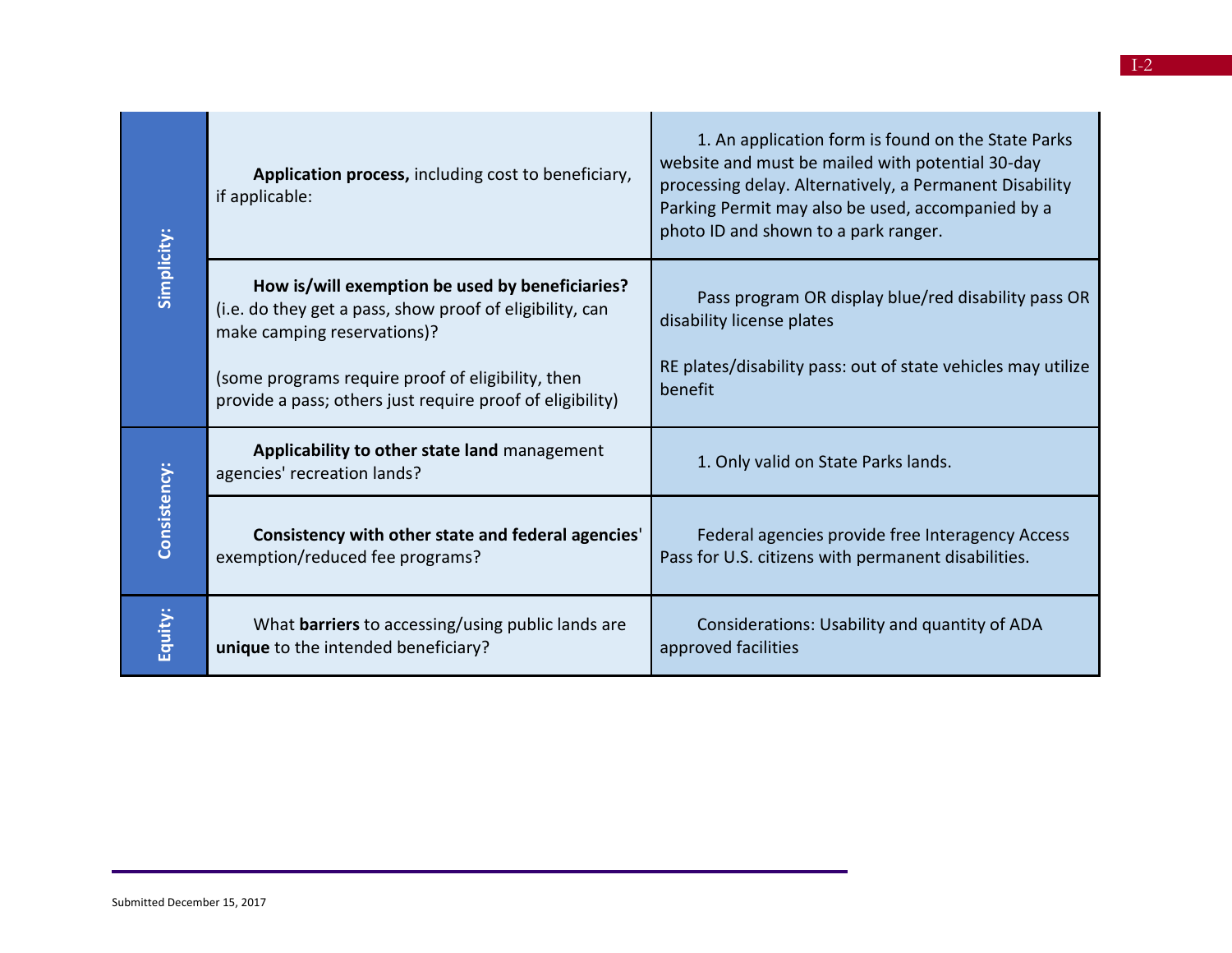| Simplicity:  | Application process, including cost to beneficiary,<br>if applicable:                                                                      | 1. An application form is found on the State Parks<br>website and must be mailed with potential 30-day<br>processing delay. Alternatively, a Permanent Disability<br>Parking Permit may also be used, accompanied by a<br>photo ID and shown to a park ranger. |
|--------------|--------------------------------------------------------------------------------------------------------------------------------------------|----------------------------------------------------------------------------------------------------------------------------------------------------------------------------------------------------------------------------------------------------------------|
|              | How is/will exemption be used by beneficiaries?<br>(i.e. do they get a pass, show proof of eligibility, can<br>make camping reservations)? | Pass program OR display blue/red disability pass OR<br>disability license plates                                                                                                                                                                               |
|              | (some programs require proof of eligibility, then<br>provide a pass; others just require proof of eligibility)                             | RE plates/disability pass: out of state vehicles may utilize<br>benefit                                                                                                                                                                                        |
| Consistency: | Applicability to other state land management<br>agencies' recreation lands?                                                                | 1. Only valid on State Parks lands.                                                                                                                                                                                                                            |
|              | Consistency with other state and federal agencies'<br>exemption/reduced fee programs?                                                      | Federal agencies provide free Interagency Access<br>Pass for U.S. citizens with permanent disabilities.                                                                                                                                                        |
| Equity:      | What <b>barriers</b> to accessing/using public lands are<br>unique to the intended beneficiary?                                            | Considerations: Usability and quantity of ADA<br>approved facilities                                                                                                                                                                                           |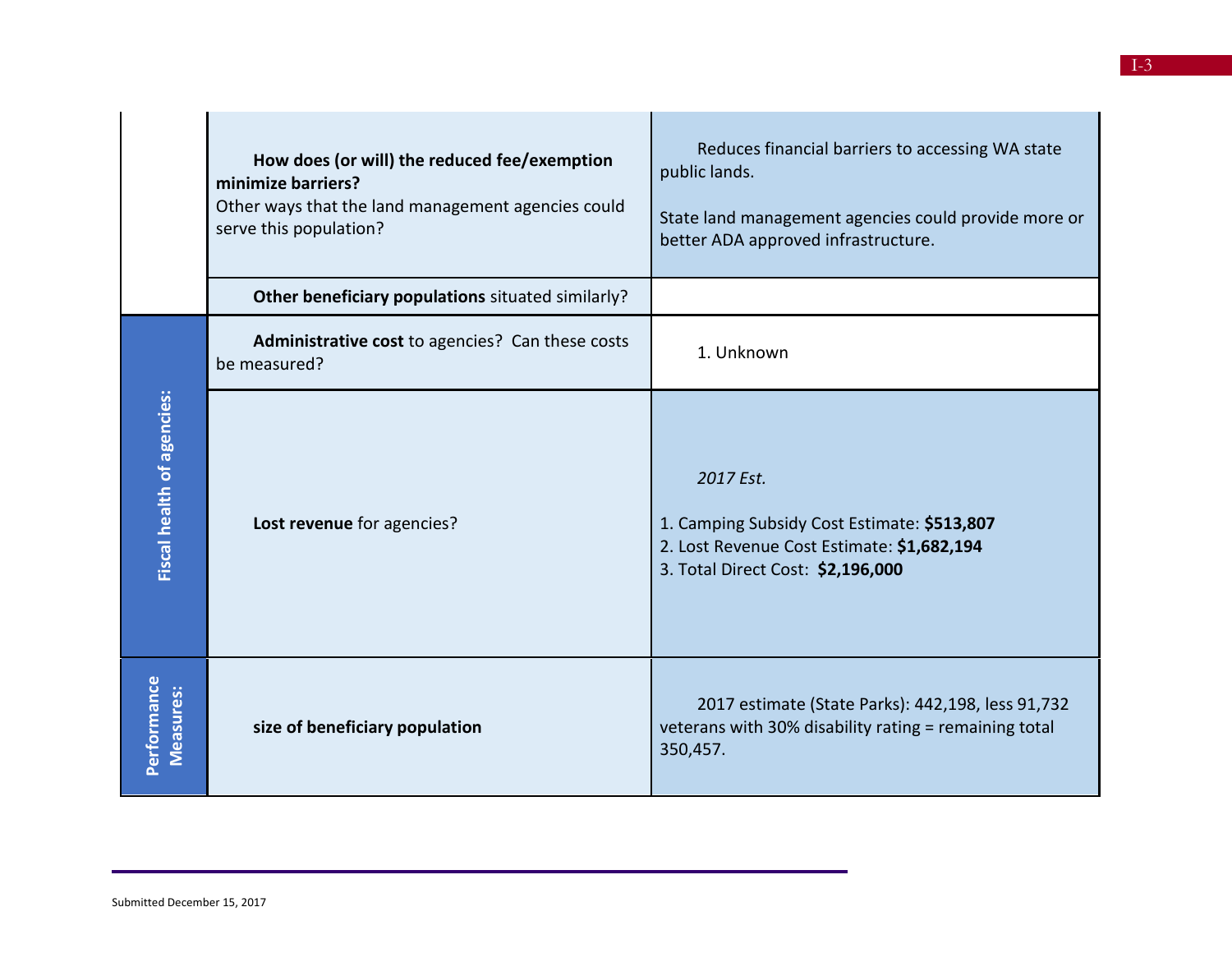|                                   | How does (or will) the reduced fee/exemption<br>minimize barriers?<br>Other ways that the land management agencies could<br>serve this population? | Reduces financial barriers to accessing WA state<br>public lands.<br>State land management agencies could provide more or<br>better ADA approved infrastructure. |
|-----------------------------------|----------------------------------------------------------------------------------------------------------------------------------------------------|------------------------------------------------------------------------------------------------------------------------------------------------------------------|
|                                   | Other beneficiary populations situated similarly?                                                                                                  |                                                                                                                                                                  |
|                                   | Administrative cost to agencies? Can these costs<br>be measured?                                                                                   | 1. Unknown                                                                                                                                                       |
| <b>Fiscal health of agencies:</b> | Lost revenue for agencies?                                                                                                                         | 2017 Est.<br>1. Camping Subsidy Cost Estimate: \$513,807<br>2. Lost Revenue Cost Estimate: \$1,682,194<br>3. Total Direct Cost: \$2,196,000                      |
| Performance<br><b>Measures:</b>   | size of beneficiary population                                                                                                                     | 2017 estimate (State Parks): 442,198, less 91,732<br>veterans with 30% disability rating = remaining total<br>350,457.                                           |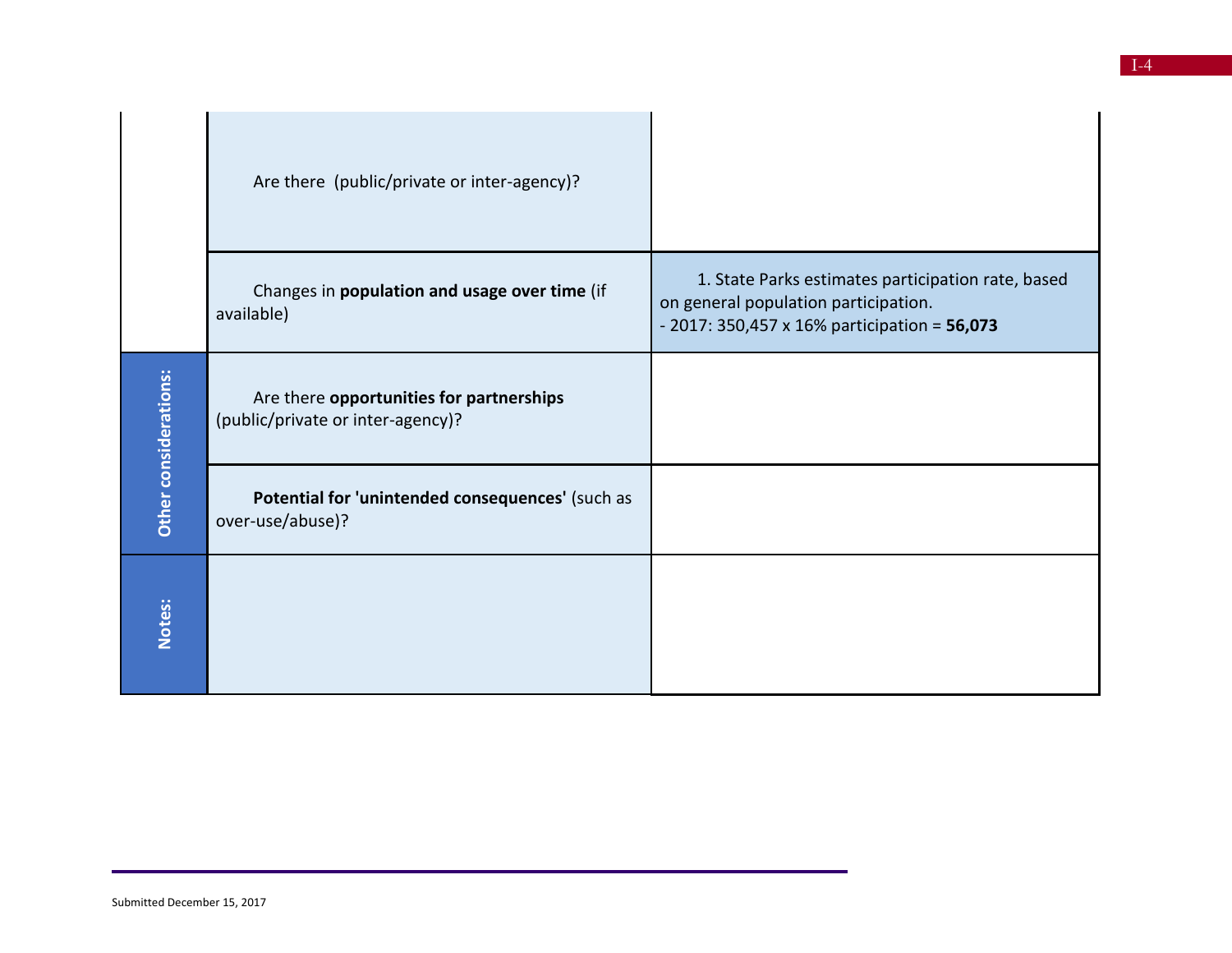|                       | Are there (public/private or inter-agency)?                                   |                                                                                                                                            |
|-----------------------|-------------------------------------------------------------------------------|--------------------------------------------------------------------------------------------------------------------------------------------|
|                       | Changes in population and usage over time (if<br>available)                   | 1. State Parks estimates participation rate, based<br>on general population participation.<br>- 2017: 350,457 x 16% participation = 56,073 |
| Other considerations: | Are there opportunities for partnerships<br>(public/private or inter-agency)? |                                                                                                                                            |
|                       | Potential for 'unintended consequences' (such as<br>over-use/abuse)?          |                                                                                                                                            |
| Notes:                |                                                                               |                                                                                                                                            |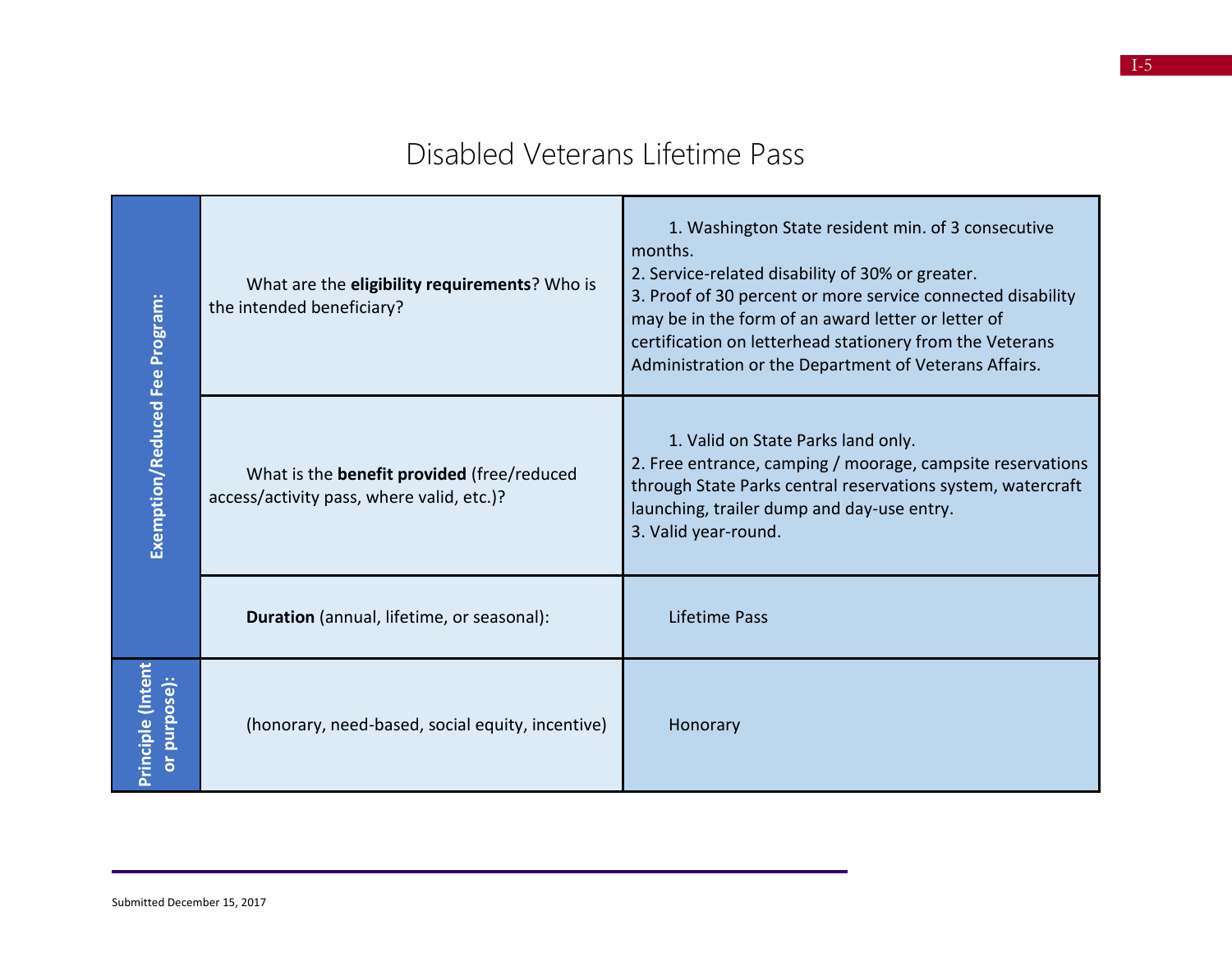#### Disabled Veterans Lifetime Pass

| Exemption/Reduced Fee Program:       | What are the eligibility requirements? Who is<br>the intended beneficiary?                     | 1. Washington State resident min. of 3 consecutive<br>months.<br>2. Service-related disability of 30% or greater.<br>3. Proof of 30 percent or more service connected disability<br>may be in the form of an award letter or letter of<br>certification on letterhead stationery from the Veterans<br>Administration or the Department of Veterans Affairs. |
|--------------------------------------|------------------------------------------------------------------------------------------------|-------------------------------------------------------------------------------------------------------------------------------------------------------------------------------------------------------------------------------------------------------------------------------------------------------------------------------------------------------------|
|                                      | What is the <b>benefit provided</b> (free/reduced<br>access/activity pass, where valid, etc.)? | 1. Valid on State Parks land only.<br>2. Free entrance, camping / moorage, campsite reservations<br>through State Parks central reservations system, watercraft<br>launching, trailer dump and day-use entry.<br>3. Valid year-round.                                                                                                                       |
|                                      | Duration (annual, lifetime, or seasonal):                                                      | Lifetime Pass                                                                                                                                                                                                                                                                                                                                               |
| (Intent<br>or purpose):<br>Principle | (honorary, need-based, social equity, incentive)                                               | Honorary                                                                                                                                                                                                                                                                                                                                                    |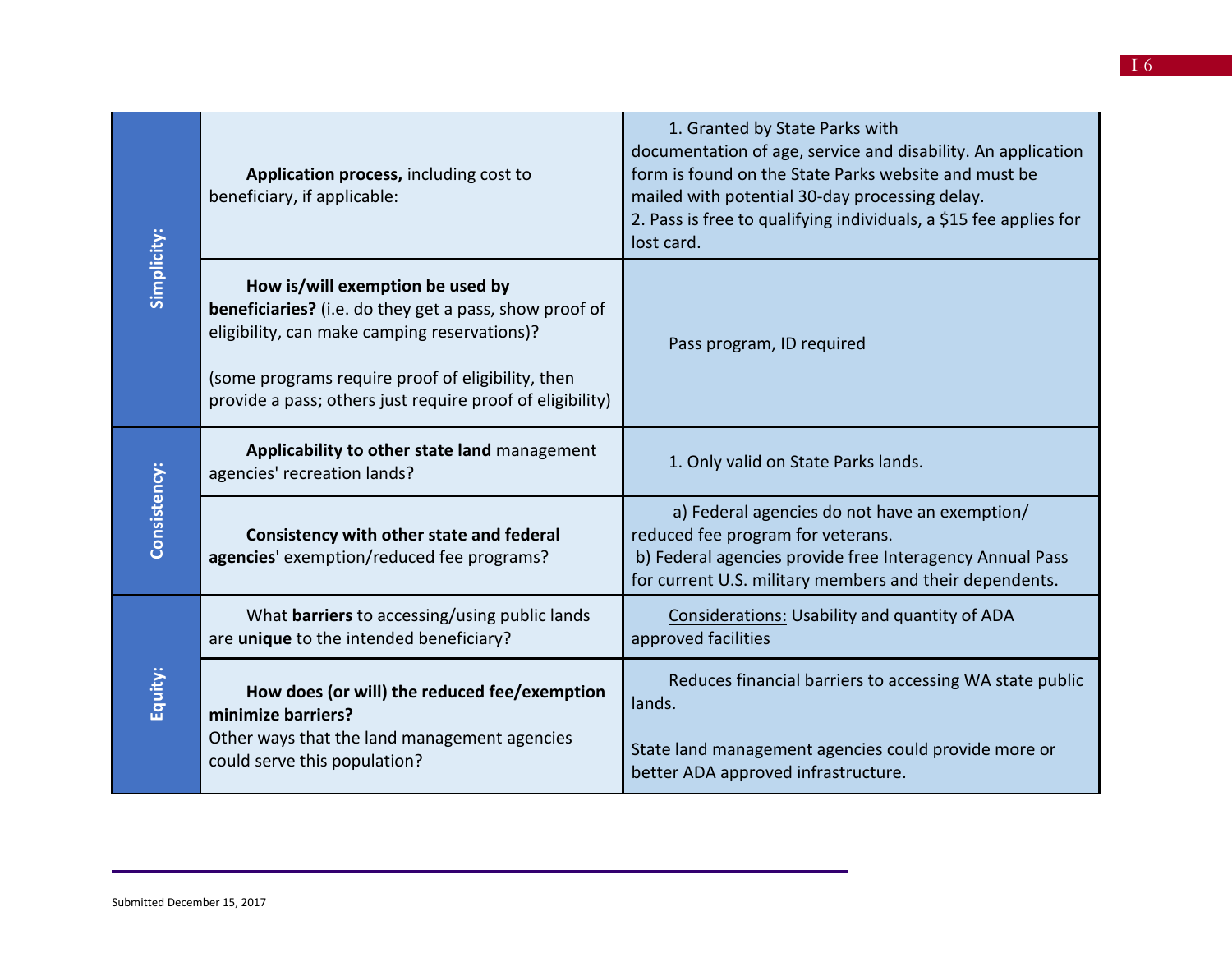| Simplicity:  | Application process, including cost to<br>beneficiary, if applicable:                                                                                                                                                                                               | 1. Granted by State Parks with<br>documentation of age, service and disability. An application<br>form is found on the State Parks website and must be<br>mailed with potential 30-day processing delay.<br>2. Pass is free to qualifying individuals, a \$15 fee applies for<br>lost card. |
|--------------|---------------------------------------------------------------------------------------------------------------------------------------------------------------------------------------------------------------------------------------------------------------------|---------------------------------------------------------------------------------------------------------------------------------------------------------------------------------------------------------------------------------------------------------------------------------------------|
|              | How is/will exemption be used by<br><b>beneficiaries?</b> (i.e. do they get a pass, show proof of<br>eligibility, can make camping reservations)?<br>(some programs require proof of eligibility, then<br>provide a pass; others just require proof of eligibility) | Pass program, ID required                                                                                                                                                                                                                                                                   |
| Consistency: | Applicability to other state land management<br>agencies' recreation lands?                                                                                                                                                                                         | 1. Only valid on State Parks lands.                                                                                                                                                                                                                                                         |
|              | Consistency with other state and federal<br>agencies' exemption/reduced fee programs?                                                                                                                                                                               | a) Federal agencies do not have an exemption/<br>reduced fee program for veterans.<br>b) Federal agencies provide free Interagency Annual Pass<br>for current U.S. military members and their dependents.                                                                                   |
| Equity:      | What barriers to accessing/using public lands<br>are unique to the intended beneficiary?                                                                                                                                                                            | Considerations: Usability and quantity of ADA<br>approved facilities                                                                                                                                                                                                                        |
|              | How does (or will) the reduced fee/exemption<br>minimize barriers?<br>Other ways that the land management agencies<br>could serve this population?                                                                                                                  | Reduces financial barriers to accessing WA state public<br>lands.<br>State land management agencies could provide more or<br>better ADA approved infrastructure.                                                                                                                            |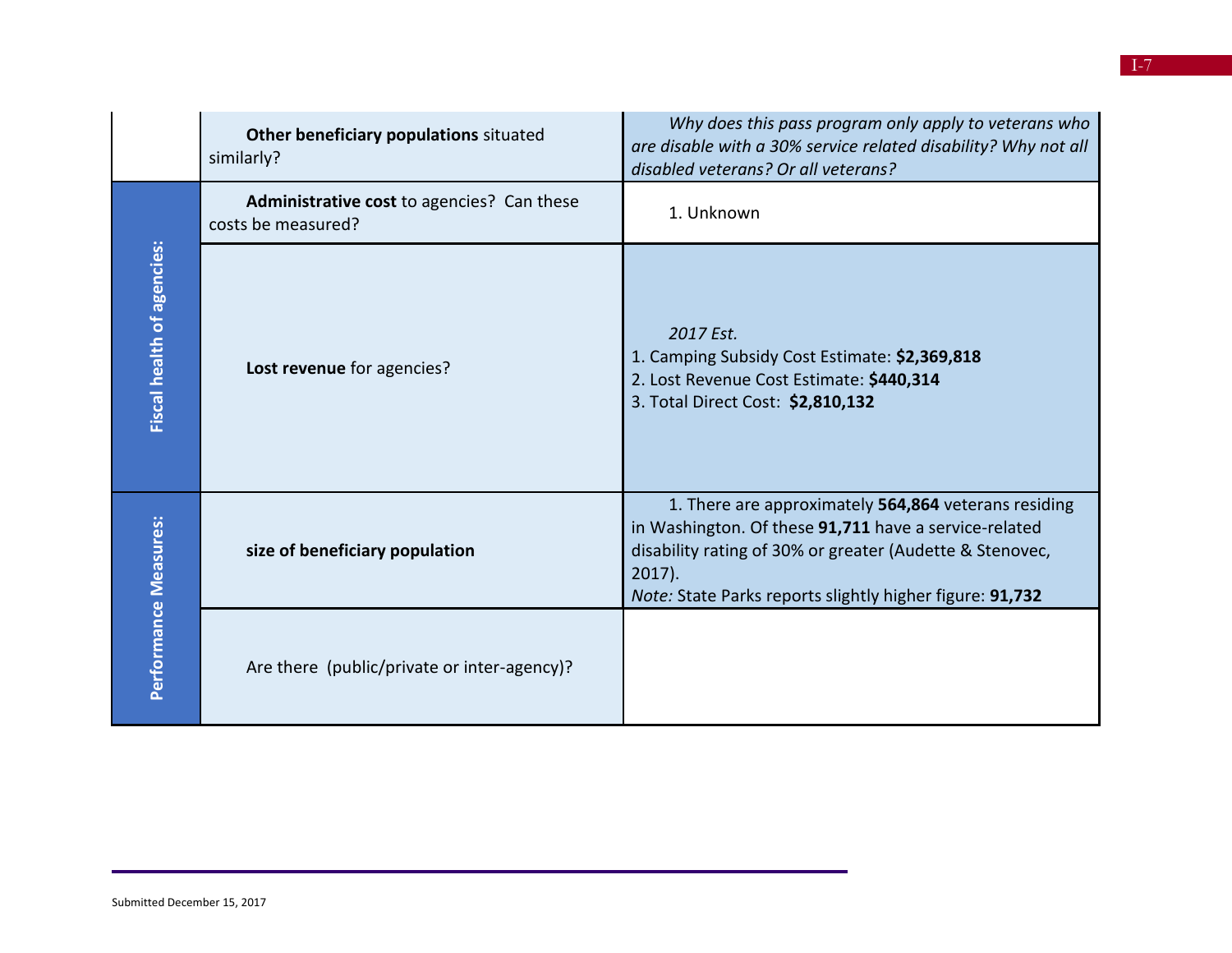|                                   | Other beneficiary populations situated<br>similarly?             | Why does this pass program only apply to veterans who<br>are disable with a 30% service related disability? Why not all<br>disabled veterans? Or all veterans?                                                                                     |
|-----------------------------------|------------------------------------------------------------------|----------------------------------------------------------------------------------------------------------------------------------------------------------------------------------------------------------------------------------------------------|
|                                   | Administrative cost to agencies? Can these<br>costs be measured? | 1. Unknown                                                                                                                                                                                                                                         |
| <b>Fiscal health of agencies:</b> | Lost revenue for agencies?                                       | 2017 Est.<br>1. Camping Subsidy Cost Estimate: \$2,369,818<br>2. Lost Revenue Cost Estimate: \$440,314<br>3. Total Direct Cost: \$2,810,132                                                                                                        |
| Performance Measures:             | size of beneficiary population                                   | 1. There are approximately 564,864 veterans residing<br>in Washington. Of these 91,711 have a service-related<br>disability rating of 30% or greater (Audette & Stenovec,<br>$2017$ ).<br>Note: State Parks reports slightly higher figure: 91,732 |
|                                   | Are there (public/private or inter-agency)?                      |                                                                                                                                                                                                                                                    |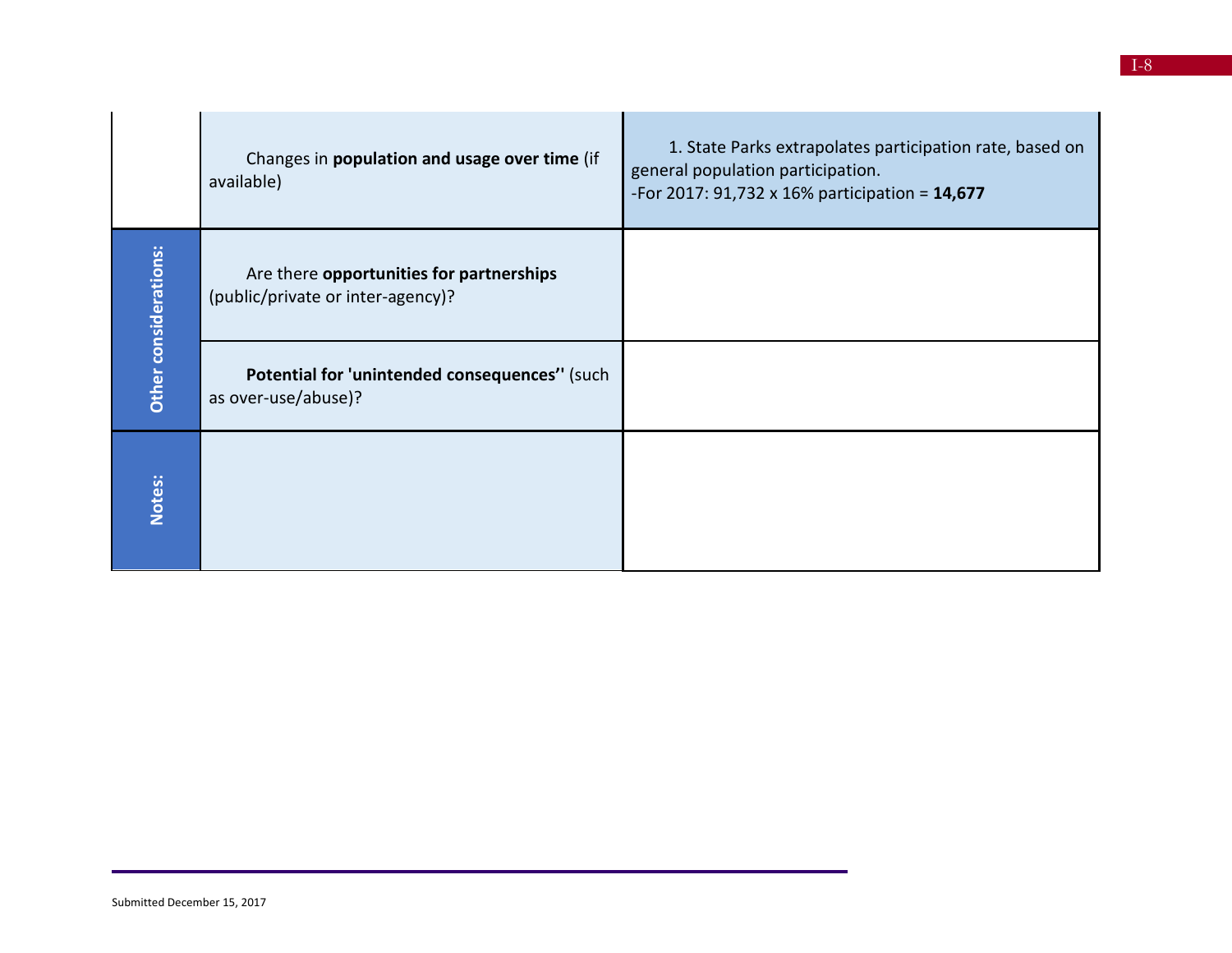|                       | Changes in population and usage over time (if<br>available)                   | 1. State Parks extrapolates participation rate, based on<br>general population participation.<br>-For 2017: 91,732 x 16% participation = $14,677$ |
|-----------------------|-------------------------------------------------------------------------------|---------------------------------------------------------------------------------------------------------------------------------------------------|
| Other considerations: | Are there opportunities for partnerships<br>(public/private or inter-agency)? |                                                                                                                                                   |
|                       | Potential for 'unintended consequences'' (such<br>as over-use/abuse)?         |                                                                                                                                                   |
| Notes:                |                                                                               |                                                                                                                                                   |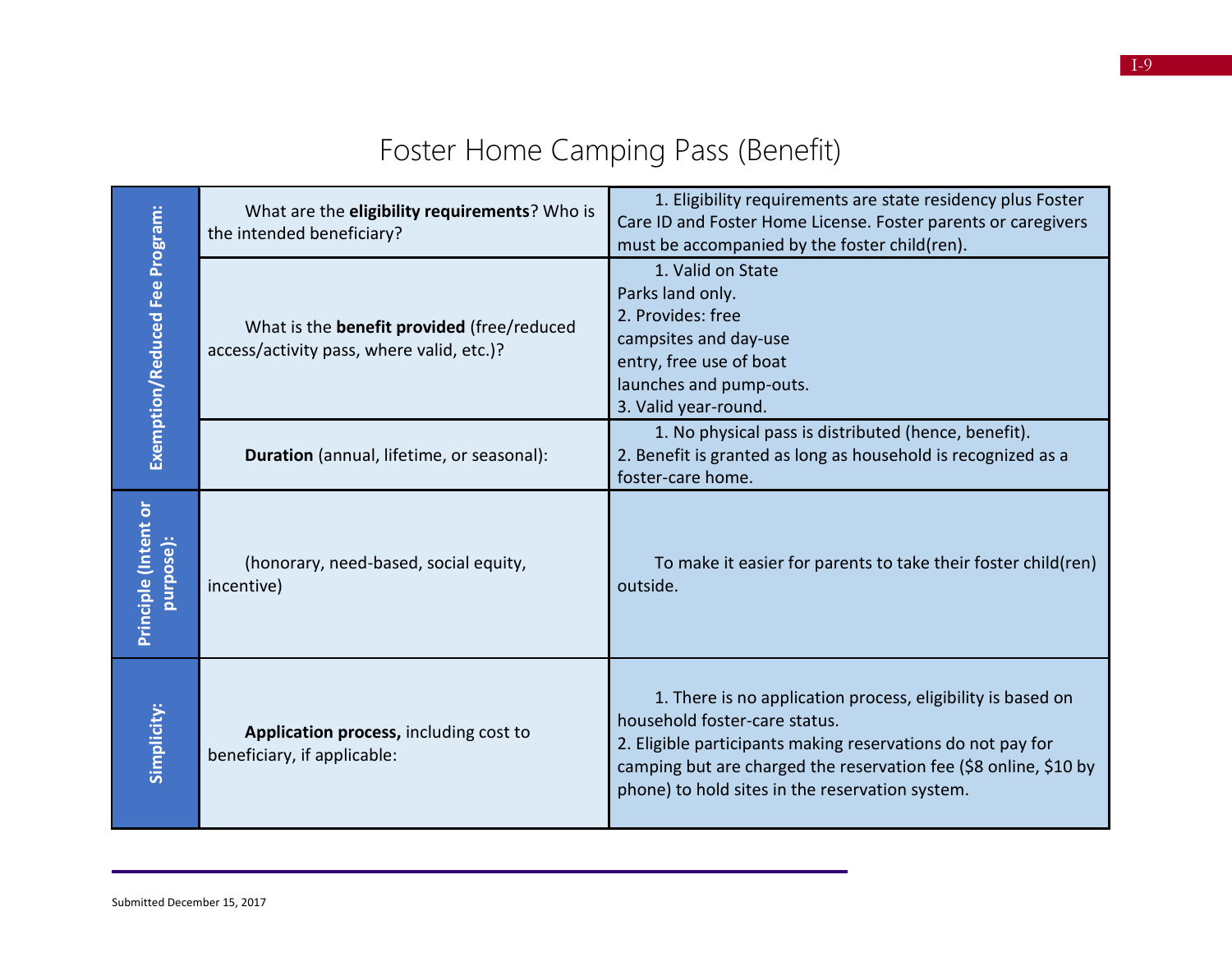|                                   | What are the eligibility requirements? Who is<br>the intended beneficiary?              | 1. Eligibility requirements are state residency plus Foster<br>Care ID and Foster Home License. Foster parents or caregivers<br>must be accompanied by the foster child(ren).                                                                                                      |
|-----------------------------------|-----------------------------------------------------------------------------------------|------------------------------------------------------------------------------------------------------------------------------------------------------------------------------------------------------------------------------------------------------------------------------------|
| Exemption/Reduced Fee Program:    | What is the benefit provided (free/reduced<br>access/activity pass, where valid, etc.)? | 1. Valid on State<br>Parks land only.<br>2. Provides: free<br>campsites and day-use<br>entry, free use of boat<br>launches and pump-outs.<br>3. Valid year-round.                                                                                                                  |
|                                   | Duration (annual, lifetime, or seasonal):                                               | 1. No physical pass is distributed (hence, benefit).<br>2. Benefit is granted as long as household is recognized as a<br>foster-care home.                                                                                                                                         |
| Principle (Intent or<br>purpose): | (honorary, need-based, social equity,<br>incentive)                                     | To make it easier for parents to take their foster child(ren)<br>outside.                                                                                                                                                                                                          |
| Simplicity:                       | Application process, including cost to<br>beneficiary, if applicable:                   | 1. There is no application process, eligibility is based on<br>household foster-care status.<br>2. Eligible participants making reservations do not pay for<br>camping but are charged the reservation fee (\$8 online, \$10 by<br>phone) to hold sites in the reservation system. |

## Foster Home Camping Pass (Benefit)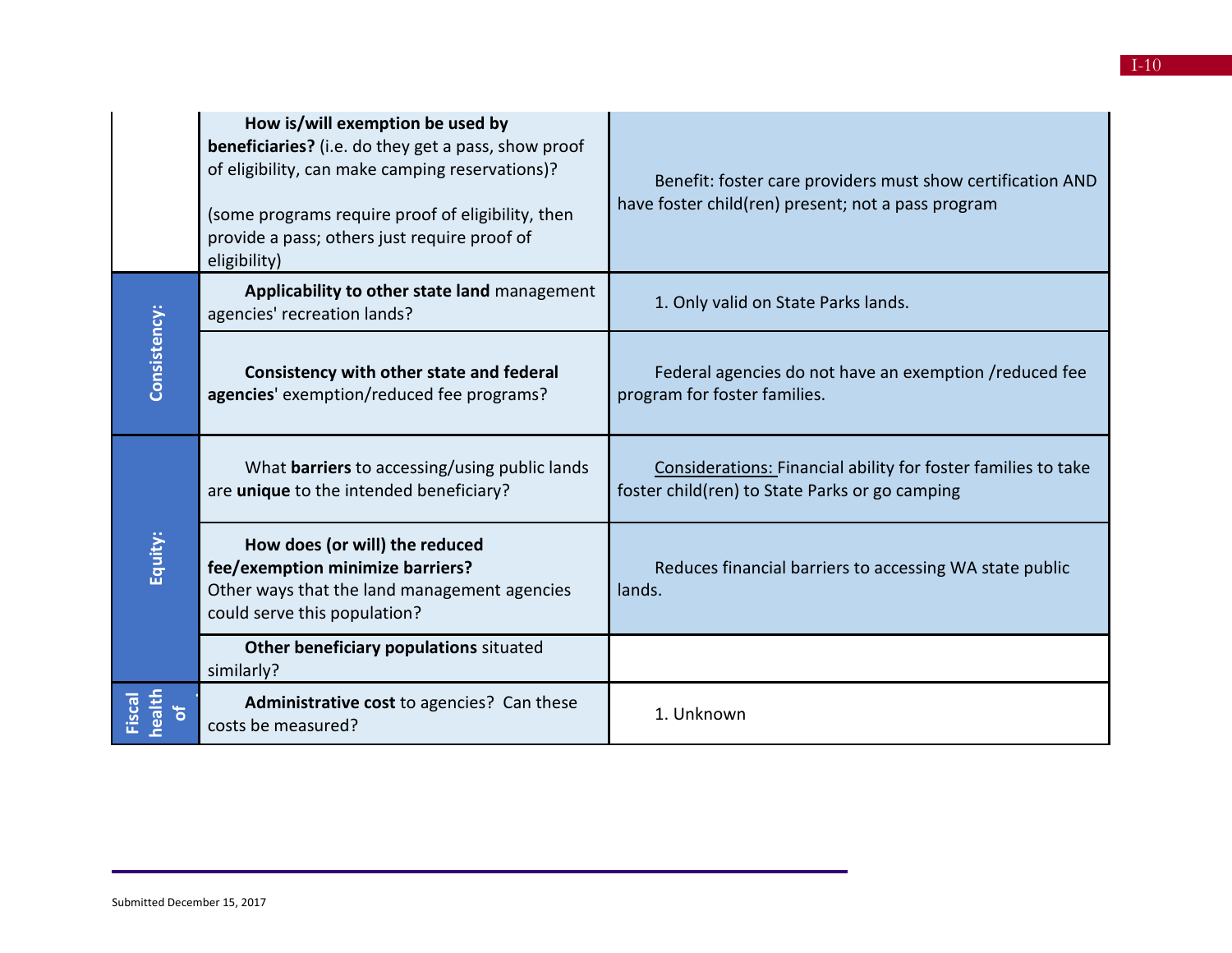|                  | How is/will exemption be used by<br><b>beneficiaries?</b> (i.e. do they get a pass, show proof<br>of eligibility, can make camping reservations)?<br>(some programs require proof of eligibility, then<br>provide a pass; others just require proof of<br>eligibility) | Benefit: foster care providers must show certification AND<br>have foster child(ren) present; not a pass program |
|------------------|------------------------------------------------------------------------------------------------------------------------------------------------------------------------------------------------------------------------------------------------------------------------|------------------------------------------------------------------------------------------------------------------|
|                  | Applicability to other state land management<br>agencies' recreation lands?                                                                                                                                                                                            | 1. Only valid on State Parks lands.                                                                              |
| Consistency:     | Consistency with other state and federal<br>agencies' exemption/reduced fee programs?                                                                                                                                                                                  | Federal agencies do not have an exemption / reduced fee<br>program for foster families.                          |
|                  | What <b>barriers</b> to accessing/using public lands<br>are unique to the intended beneficiary?                                                                                                                                                                        | Considerations: Financial ability for foster families to take<br>foster child(ren) to State Parks or go camping  |
| Equity:          | How does (or will) the reduced<br>fee/exemption minimize barriers?<br>Other ways that the land management agencies<br>could serve this population?                                                                                                                     | Reduces financial barriers to accessing WA state public<br>lands.                                                |
|                  | Other beneficiary populations situated<br>similarly?                                                                                                                                                                                                                   |                                                                                                                  |
| health<br>Fiscal | Administrative cost to agencies? Can these<br>costs be measured?                                                                                                                                                                                                       | 1. Unknown                                                                                                       |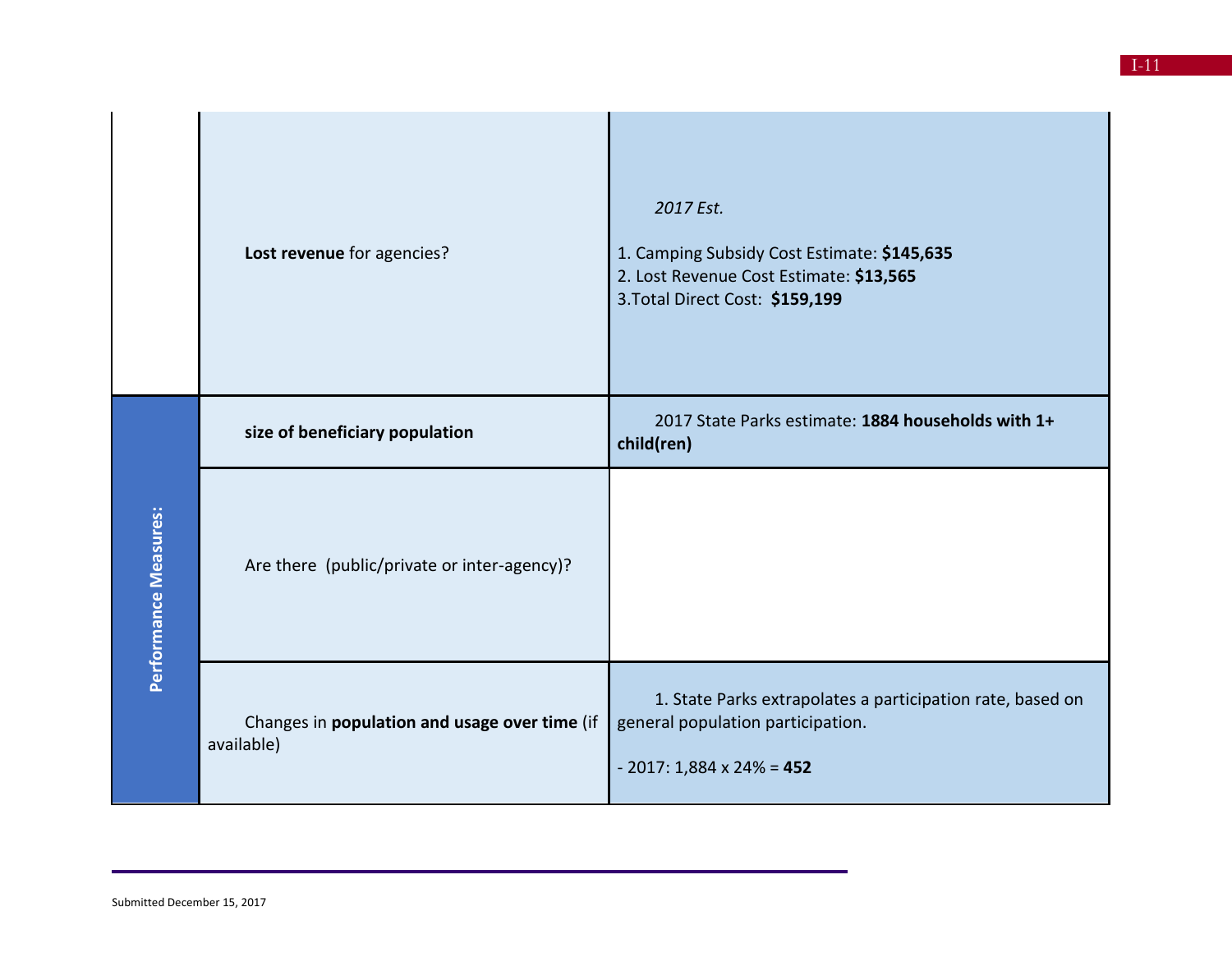|                       | Lost revenue for agencies?                                  | 2017 Est.<br>1. Camping Subsidy Cost Estimate: \$145,635<br>2. Lost Revenue Cost Estimate: \$13,565<br>3. Total Direct Cost: \$159,199 |
|-----------------------|-------------------------------------------------------------|----------------------------------------------------------------------------------------------------------------------------------------|
|                       | size of beneficiary population                              | 2017 State Parks estimate: 1884 households with 1+<br>child(ren)                                                                       |
| Performance Measures: | Are there (public/private or inter-agency)?                 |                                                                                                                                        |
|                       | Changes in population and usage over time (if<br>available) | 1. State Parks extrapolates a participation rate, based on<br>general population participation.<br>$-2017: 1,884 \times 24\% = 452$    |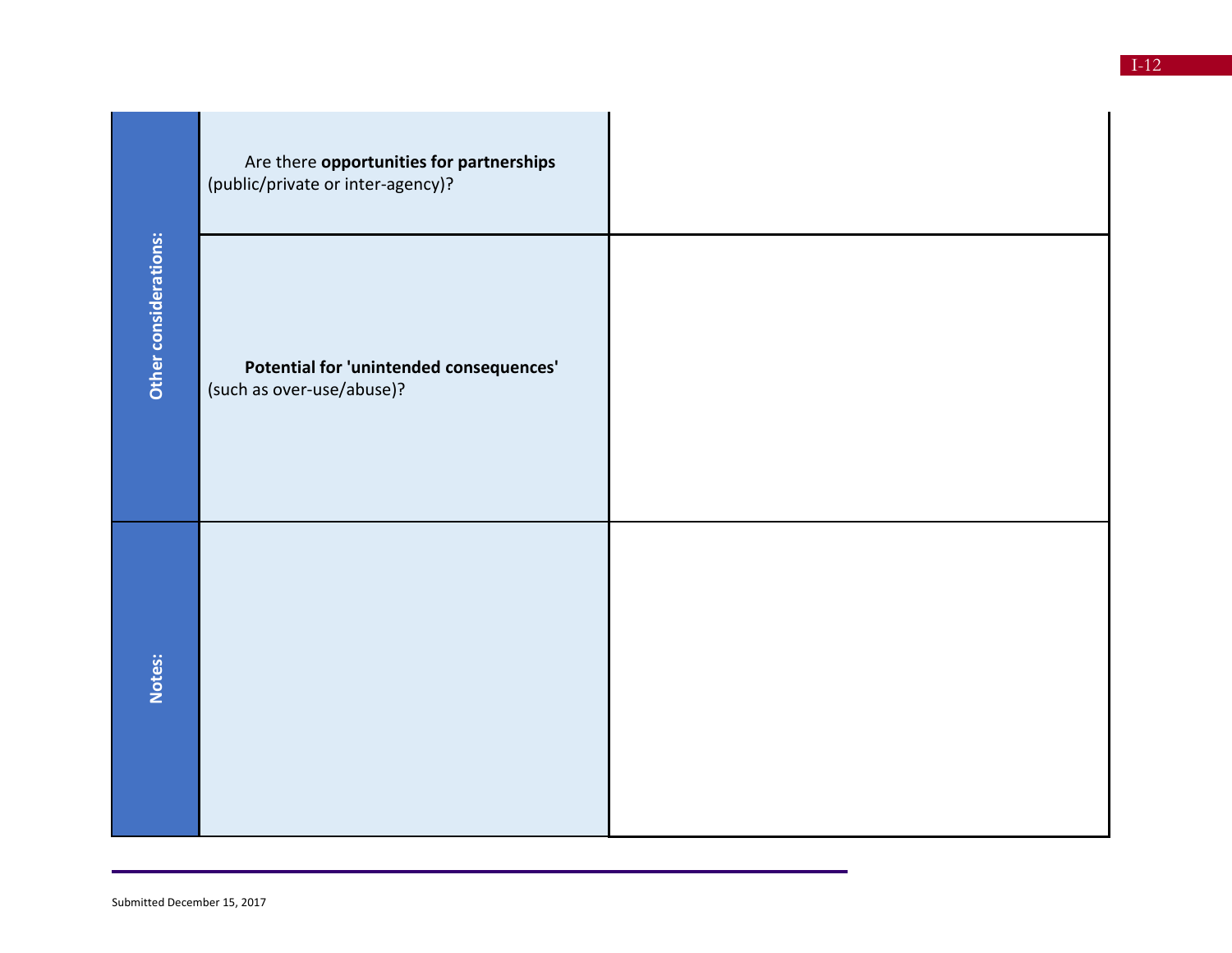|                       | Are there opportunities for partnerships<br>(public/private or inter-agency)? |  |
|-----------------------|-------------------------------------------------------------------------------|--|
| Other considerations: | Potential for 'unintended consequences'<br>(such as over-use/abuse)?          |  |
| Notes:                |                                                                               |  |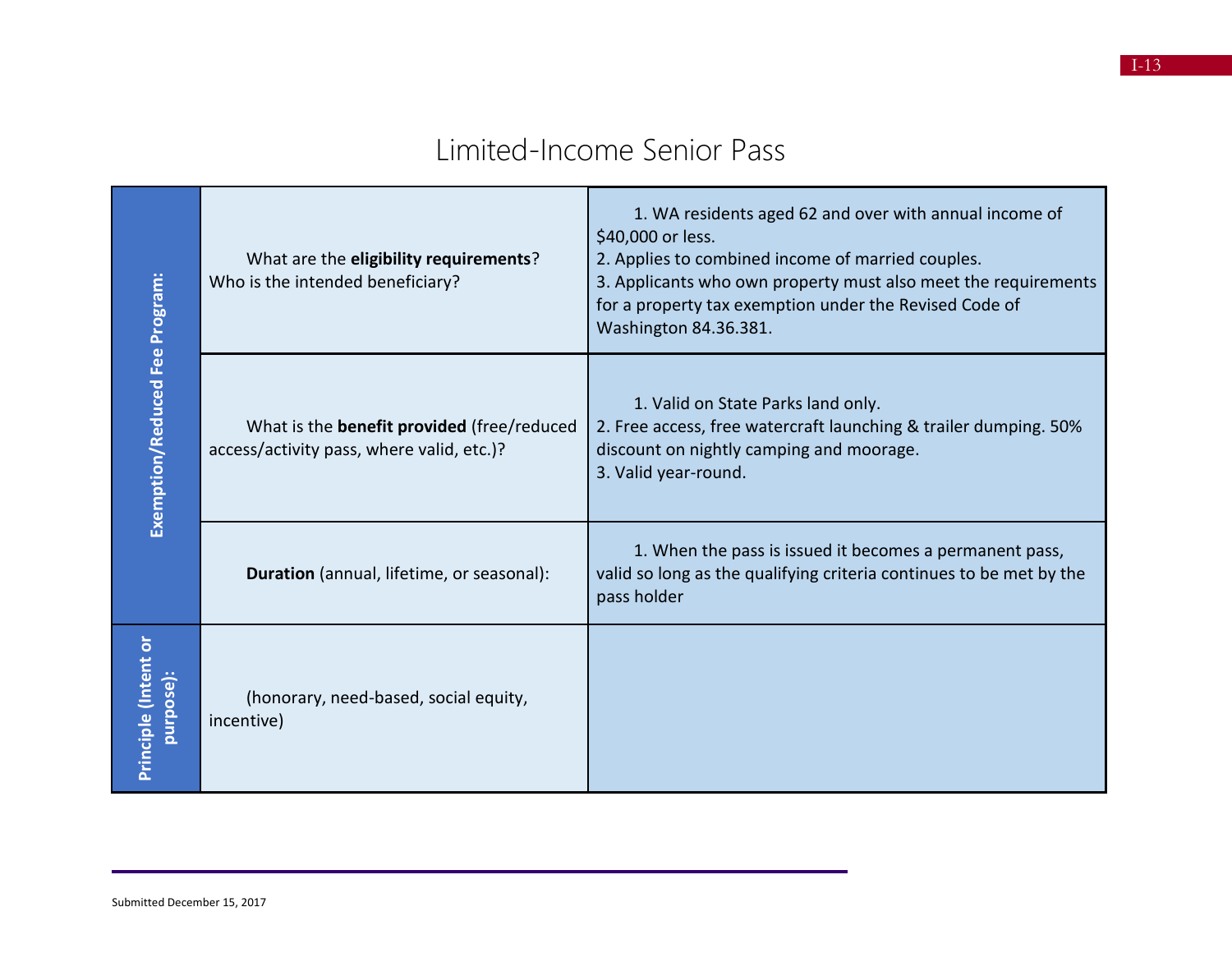#### Limited-Income Senior Pass

| Exemption/Reduced Fee Program:    | What are the eligibility requirements?<br>Who is the intended beneficiary?                     | 1. WA residents aged 62 and over with annual income of<br>\$40,000 or less.<br>2. Applies to combined income of married couples.<br>3. Applicants who own property must also meet the requirements<br>for a property tax exemption under the Revised Code of<br>Washington 84.36.381. |
|-----------------------------------|------------------------------------------------------------------------------------------------|---------------------------------------------------------------------------------------------------------------------------------------------------------------------------------------------------------------------------------------------------------------------------------------|
|                                   | What is the <b>benefit provided</b> (free/reduced<br>access/activity pass, where valid, etc.)? | 1. Valid on State Parks land only.<br>2. Free access, free watercraft launching & trailer dumping. 50%<br>discount on nightly camping and moorage.<br>3. Valid year-round.                                                                                                            |
|                                   | Duration (annual, lifetime, or seasonal):                                                      | 1. When the pass is issued it becomes a permanent pass,<br>valid so long as the qualifying criteria continues to be met by the<br>pass holder                                                                                                                                         |
| Principle (Intent or<br>purpose): | (honorary, need-based, social equity,<br>incentive)                                            |                                                                                                                                                                                                                                                                                       |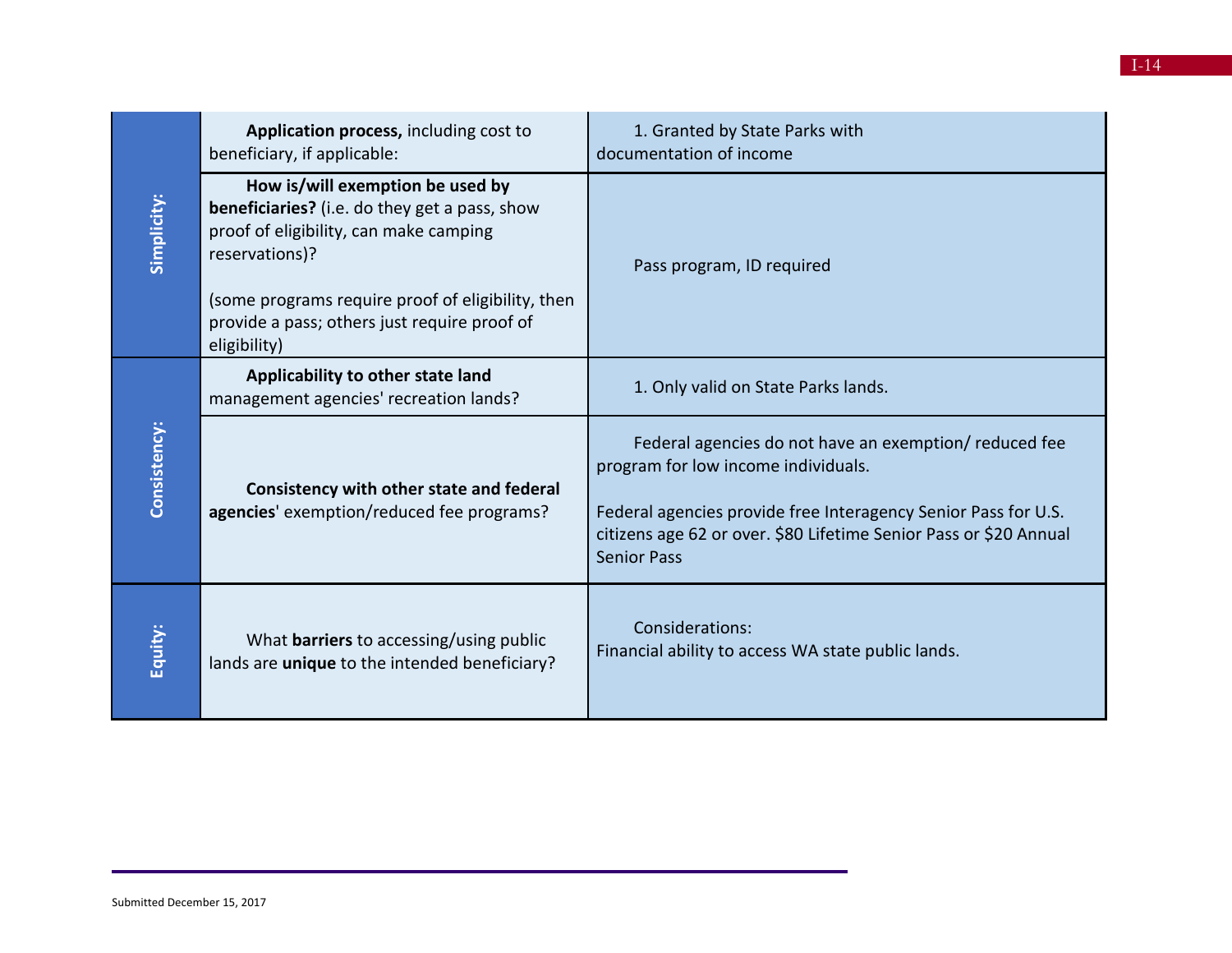|              | Application process, including cost to<br>beneficiary, if applicable:                                                                                                                                                                                              | 1. Granted by State Parks with<br>documentation of income                                                                                                                                                                                                 |
|--------------|--------------------------------------------------------------------------------------------------------------------------------------------------------------------------------------------------------------------------------------------------------------------|-----------------------------------------------------------------------------------------------------------------------------------------------------------------------------------------------------------------------------------------------------------|
| Simplicity:  | How is/will exemption be used by<br>beneficiaries? (i.e. do they get a pass, show<br>proof of eligibility, can make camping<br>reservations)?<br>(some programs require proof of eligibility, then<br>provide a pass; others just require proof of<br>eligibility) | Pass program, ID required                                                                                                                                                                                                                                 |
| Consistency: | Applicability to other state land<br>management agencies' recreation lands?                                                                                                                                                                                        | 1. Only valid on State Parks lands.                                                                                                                                                                                                                       |
|              | Consistency with other state and federal<br>agencies' exemption/reduced fee programs?                                                                                                                                                                              | Federal agencies do not have an exemption/reduced fee<br>program for low income individuals.<br>Federal agencies provide free Interagency Senior Pass for U.S.<br>citizens age 62 or over. \$80 Lifetime Senior Pass or \$20 Annual<br><b>Senior Pass</b> |
| Equity:      | What <b>barriers</b> to accessing/using public<br>lands are unique to the intended beneficiary?                                                                                                                                                                    | Considerations:<br>Financial ability to access WA state public lands.                                                                                                                                                                                     |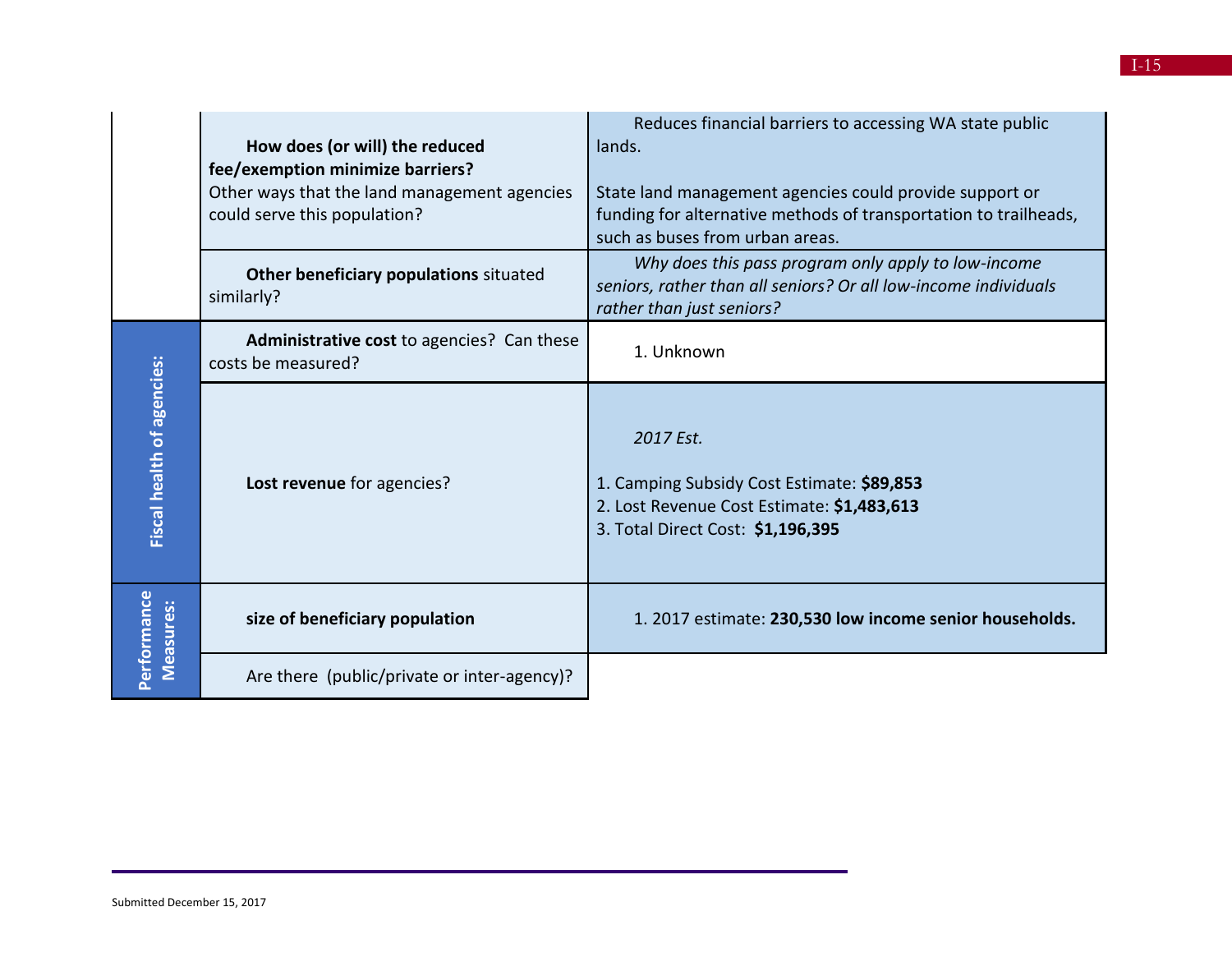|                                   | How does (or will) the reduced<br>fee/exemption minimize barriers?<br>Other ways that the land management agencies<br>could serve this population? | Reduces financial barriers to accessing WA state public<br>lands.<br>State land management agencies could provide support or<br>funding for alternative methods of transportation to trailheads,<br>such as buses from urban areas. |
|-----------------------------------|----------------------------------------------------------------------------------------------------------------------------------------------------|-------------------------------------------------------------------------------------------------------------------------------------------------------------------------------------------------------------------------------------|
|                                   | Other beneficiary populations situated<br>similarly?                                                                                               | Why does this pass program only apply to low-income<br>seniors, rather than all seniors? Or all low-income individuals<br>rather than just seniors?                                                                                 |
|                                   | Administrative cost to agencies? Can these<br>costs be measured?                                                                                   | 1. Unknown                                                                                                                                                                                                                          |
| <b>Fiscal health of agencies:</b> | Lost revenue for agencies?                                                                                                                         | 2017 Est.<br>1. Camping Subsidy Cost Estimate: \$89,853<br>2. Lost Revenue Cost Estimate: \$1,483,613<br>3. Total Direct Cost: \$1,196,395                                                                                          |
| Performance<br><b>Measures:</b>   | size of beneficiary population                                                                                                                     | 1. 2017 estimate: 230,530 low income senior households.                                                                                                                                                                             |
|                                   | Are there (public/private or inter-agency)?                                                                                                        |                                                                                                                                                                                                                                     |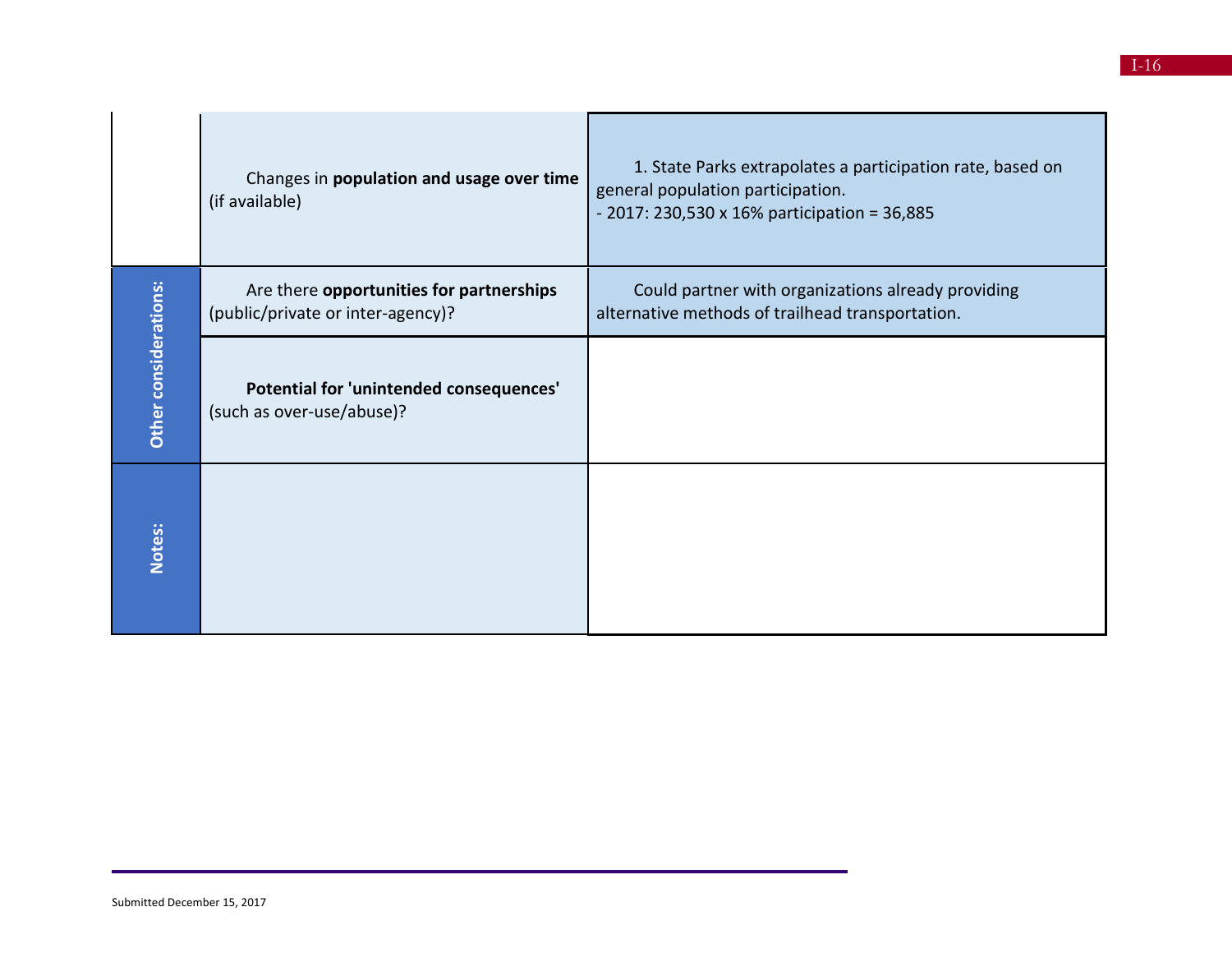|                       | Changes in population and usage over time<br>(if available)                   | 1. State Parks extrapolates a participation rate, based on<br>general population participation.<br>$-2017: 230,530 \times 16\%$ participation = 36,885 |
|-----------------------|-------------------------------------------------------------------------------|--------------------------------------------------------------------------------------------------------------------------------------------------------|
|                       | Are there opportunities for partnerships<br>(public/private or inter-agency)? | Could partner with organizations already providing<br>alternative methods of trailhead transportation.                                                 |
| Other considerations: | Potential for 'unintended consequences'<br>(such as over-use/abuse)?          |                                                                                                                                                        |
| Notes:                |                                                                               |                                                                                                                                                        |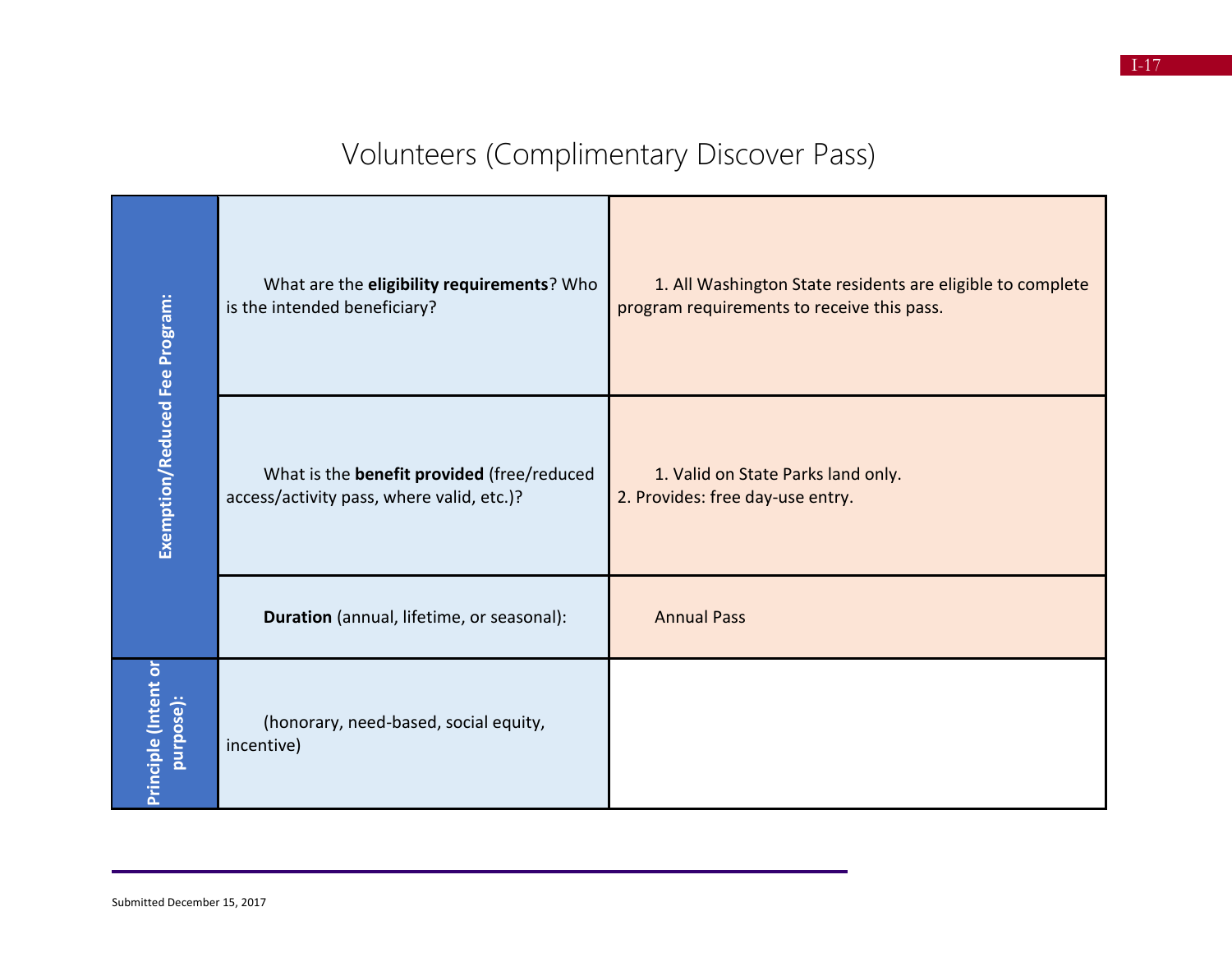# Volunteers (Complimentary Discover Pass)

|                                   | What are the eligibility requirements? Who<br>is the intended beneficiary?                     | 1. All Washington State residents are eligible to complete<br>program requirements to receive this pass. |
|-----------------------------------|------------------------------------------------------------------------------------------------|----------------------------------------------------------------------------------------------------------|
| Exemption/Reduced Fee Program:    | What is the <b>benefit provided</b> (free/reduced<br>access/activity pass, where valid, etc.)? | 1. Valid on State Parks land only.<br>2. Provides: free day-use entry.                                   |
|                                   | Duration (annual, lifetime, or seasonal):                                                      | <b>Annual Pass</b>                                                                                       |
| Principle (Intent or<br>purpose): | (honorary, need-based, social equity,<br>incentive)                                            |                                                                                                          |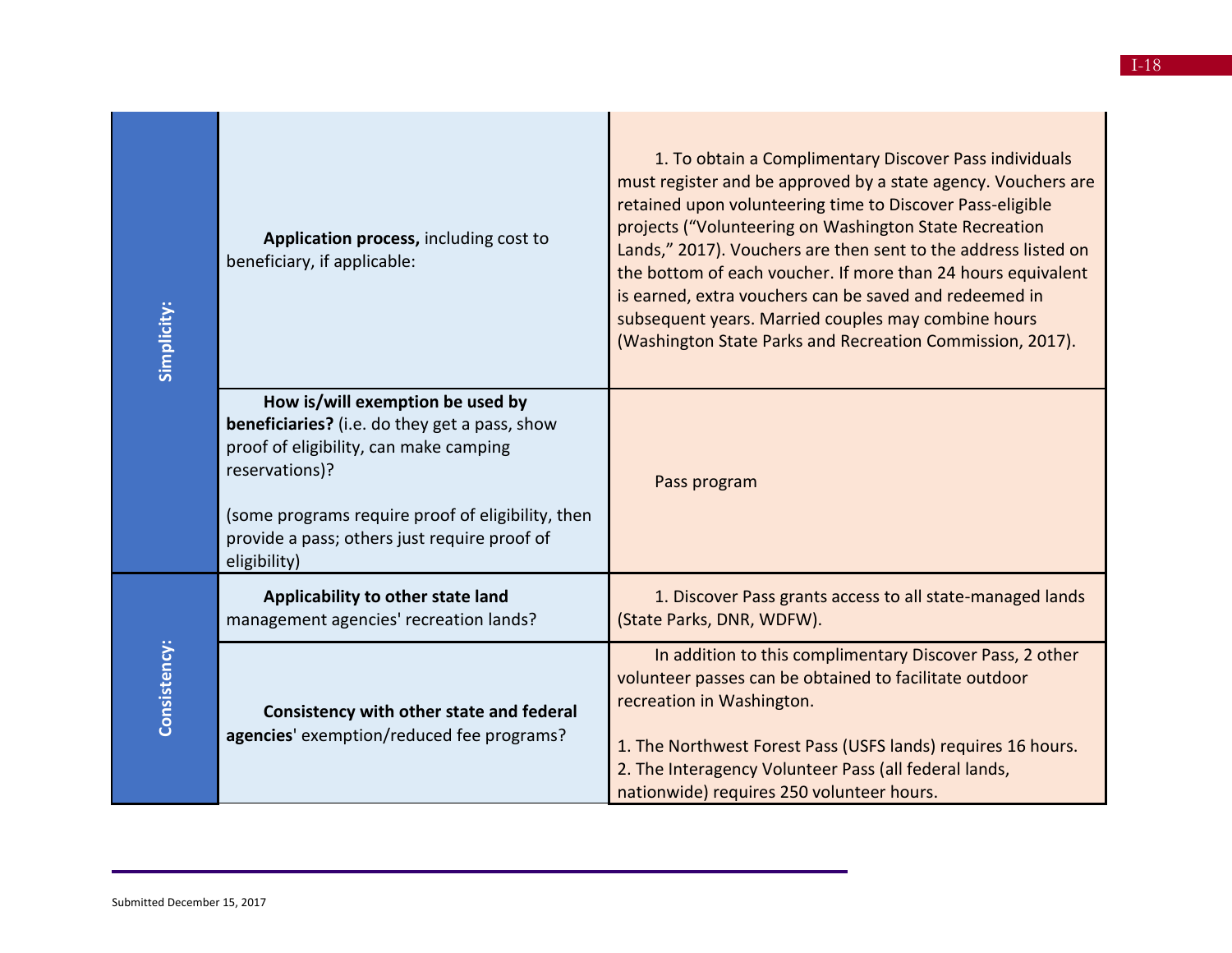| Simplicity:  | Application process, including cost to<br>beneficiary, if applicable:                                                                                                                                                                                              | 1. To obtain a Complimentary Discover Pass individuals<br>must register and be approved by a state agency. Vouchers are<br>retained upon volunteering time to Discover Pass-eligible<br>projects ("Volunteering on Washington State Recreation<br>Lands," 2017). Vouchers are then sent to the address listed on<br>the bottom of each voucher. If more than 24 hours equivalent<br>is earned, extra vouchers can be saved and redeemed in<br>subsequent years. Married couples may combine hours<br>(Washington State Parks and Recreation Commission, 2017). |
|--------------|--------------------------------------------------------------------------------------------------------------------------------------------------------------------------------------------------------------------------------------------------------------------|----------------------------------------------------------------------------------------------------------------------------------------------------------------------------------------------------------------------------------------------------------------------------------------------------------------------------------------------------------------------------------------------------------------------------------------------------------------------------------------------------------------------------------------------------------------|
|              | How is/will exemption be used by<br>beneficiaries? (i.e. do they get a pass, show<br>proof of eligibility, can make camping<br>reservations)?<br>(some programs require proof of eligibility, then<br>provide a pass; others just require proof of<br>eligibility) | Pass program                                                                                                                                                                                                                                                                                                                                                                                                                                                                                                                                                   |
| Consistency: | Applicability to other state land<br>management agencies' recreation lands?                                                                                                                                                                                        | 1. Discover Pass grants access to all state-managed lands<br>(State Parks, DNR, WDFW).                                                                                                                                                                                                                                                                                                                                                                                                                                                                         |
|              | Consistency with other state and federal<br>agencies' exemption/reduced fee programs?                                                                                                                                                                              | In addition to this complimentary Discover Pass, 2 other<br>volunteer passes can be obtained to facilitate outdoor<br>recreation in Washington.<br>1. The Northwest Forest Pass (USFS lands) requires 16 hours.<br>2. The Interagency Volunteer Pass (all federal lands,<br>nationwide) requires 250 volunteer hours.                                                                                                                                                                                                                                          |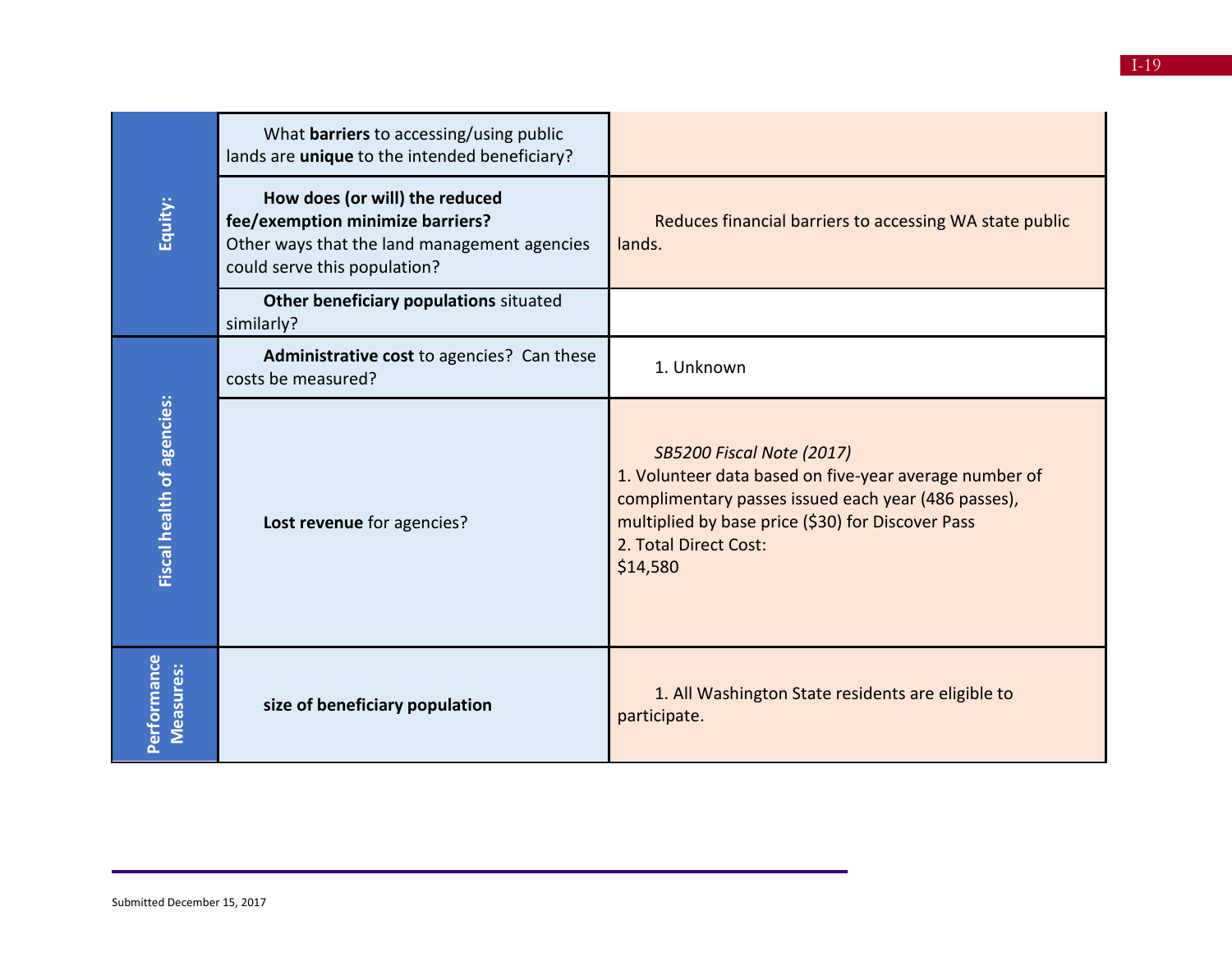|                            | What <b>barriers</b> to accessing/using public<br>lands are unique to the intended beneficiary?                                                    |                                                                                                                                                                                                                                             |
|----------------------------|----------------------------------------------------------------------------------------------------------------------------------------------------|---------------------------------------------------------------------------------------------------------------------------------------------------------------------------------------------------------------------------------------------|
| Equity:                    | How does (or will) the reduced<br>fee/exemption minimize barriers?<br>Other ways that the land management agencies<br>could serve this population? | Reduces financial barriers to accessing WA state public<br>lands.                                                                                                                                                                           |
|                            | Other beneficiary populations situated<br>similarly?                                                                                               |                                                                                                                                                                                                                                             |
|                            | Administrative cost to agencies? Can these<br>costs be measured?                                                                                   | 1. Unknown                                                                                                                                                                                                                                  |
| Fiscal health of agencies: | Lost revenue for agencies?                                                                                                                         | <b>SB5200 Fiscal Note (2017)</b><br>1. Volunteer data based on five-year average number of<br>complimentary passes issued each year (486 passes),<br>multiplied by base price (\$30) for Discover Pass<br>2. Total Direct Cost:<br>\$14,580 |
| Performance<br>Measures:   | size of beneficiary population                                                                                                                     | 1. All Washington State residents are eligible to<br>participate.                                                                                                                                                                           |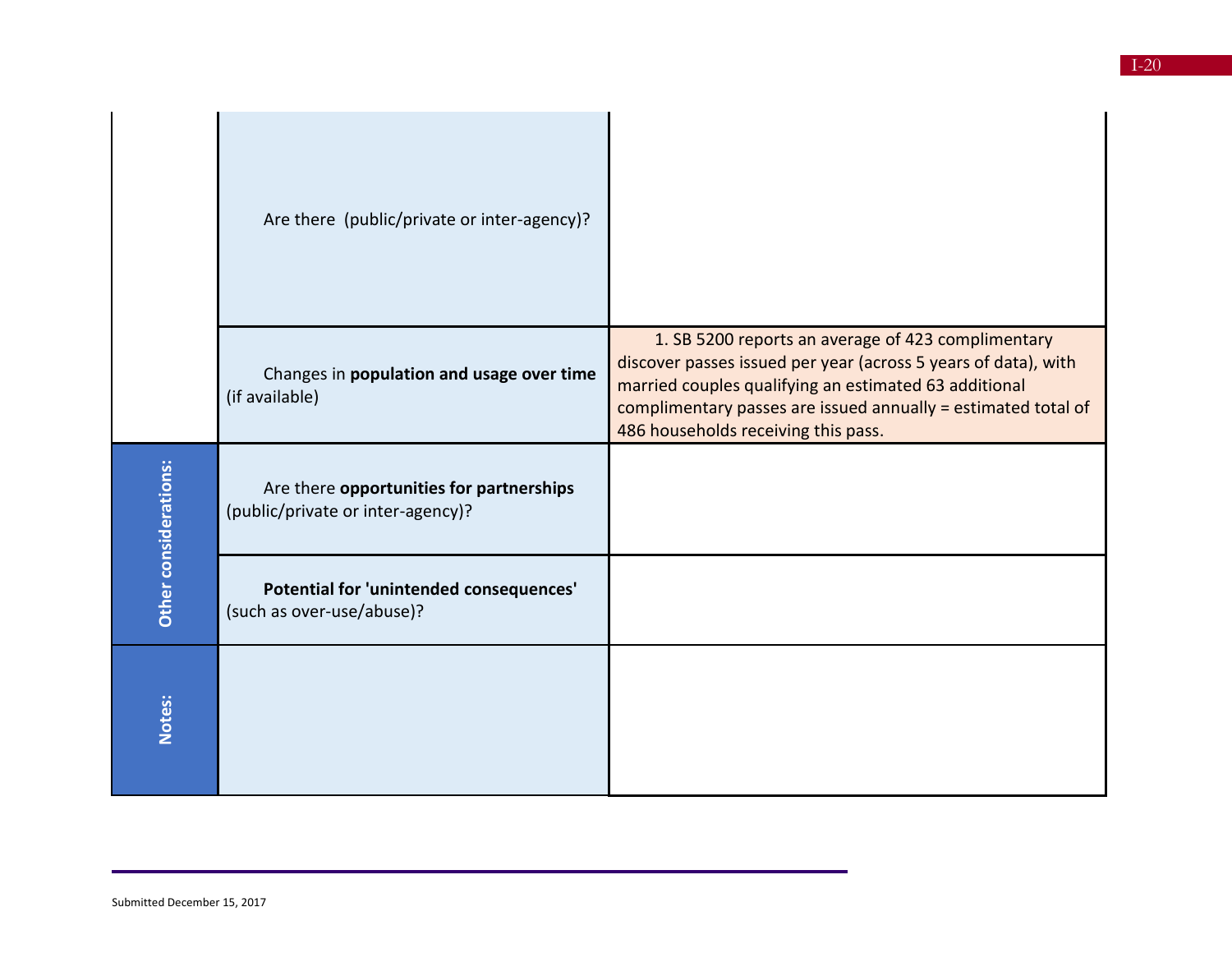|                       | Are there (public/private or inter-agency)?                                   |                                                                                                                                                                                                                                                                                       |
|-----------------------|-------------------------------------------------------------------------------|---------------------------------------------------------------------------------------------------------------------------------------------------------------------------------------------------------------------------------------------------------------------------------------|
|                       | Changes in population and usage over time<br>(if available)                   | 1. SB 5200 reports an average of 423 complimentary<br>discover passes issued per year (across 5 years of data), with<br>married couples qualifying an estimated 63 additional<br>complimentary passes are issued annually = estimated total of<br>486 households receiving this pass. |
| Other considerations: | Are there opportunities for partnerships<br>(public/private or inter-agency)? |                                                                                                                                                                                                                                                                                       |
|                       | Potential for 'unintended consequences'<br>(such as over-use/abuse)?          |                                                                                                                                                                                                                                                                                       |
| Notes:                |                                                                               |                                                                                                                                                                                                                                                                                       |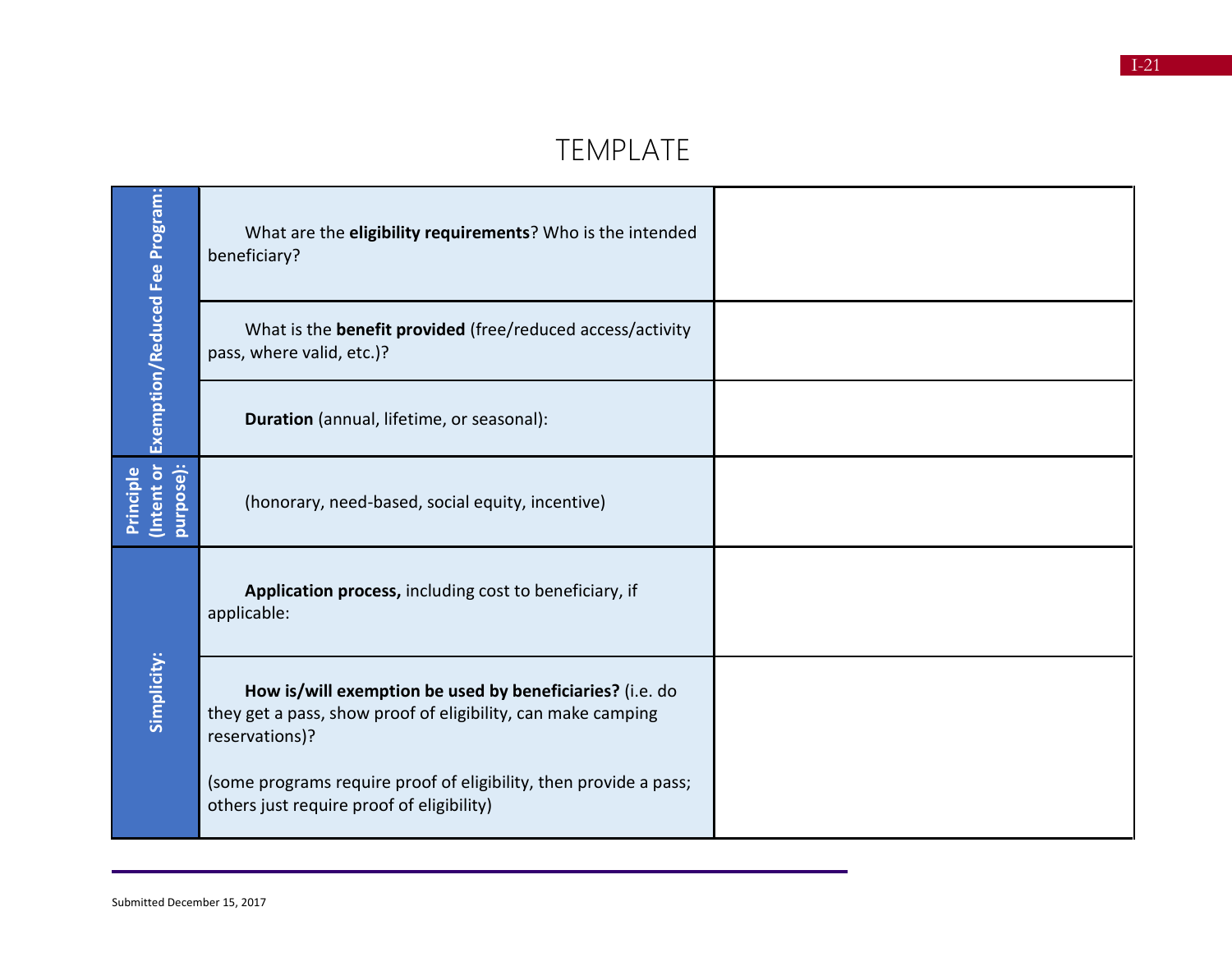#### TEMPLATE

| Exemption/Reduced Fee Program:       | What are the eligibility requirements? Who is the intended<br>beneficiary?                                                                 |  |
|--------------------------------------|--------------------------------------------------------------------------------------------------------------------------------------------|--|
|                                      | What is the <b>benefit provided</b> (free/reduced access/activity<br>pass, where valid, etc.)?                                             |  |
|                                      | Duration (annual, lifetime, or seasonal):                                                                                                  |  |
| (Intent or<br>purpose):<br>Principle | (honorary, need-based, social equity, incentive)                                                                                           |  |
| Simplicity:                          | Application process, including cost to beneficiary, if<br>applicable:                                                                      |  |
|                                      | How is/will exemption be used by beneficiaries? (i.e. do<br>they get a pass, show proof of eligibility, can make camping<br>reservations)? |  |
|                                      | (some programs require proof of eligibility, then provide a pass;<br>others just require proof of eligibility)                             |  |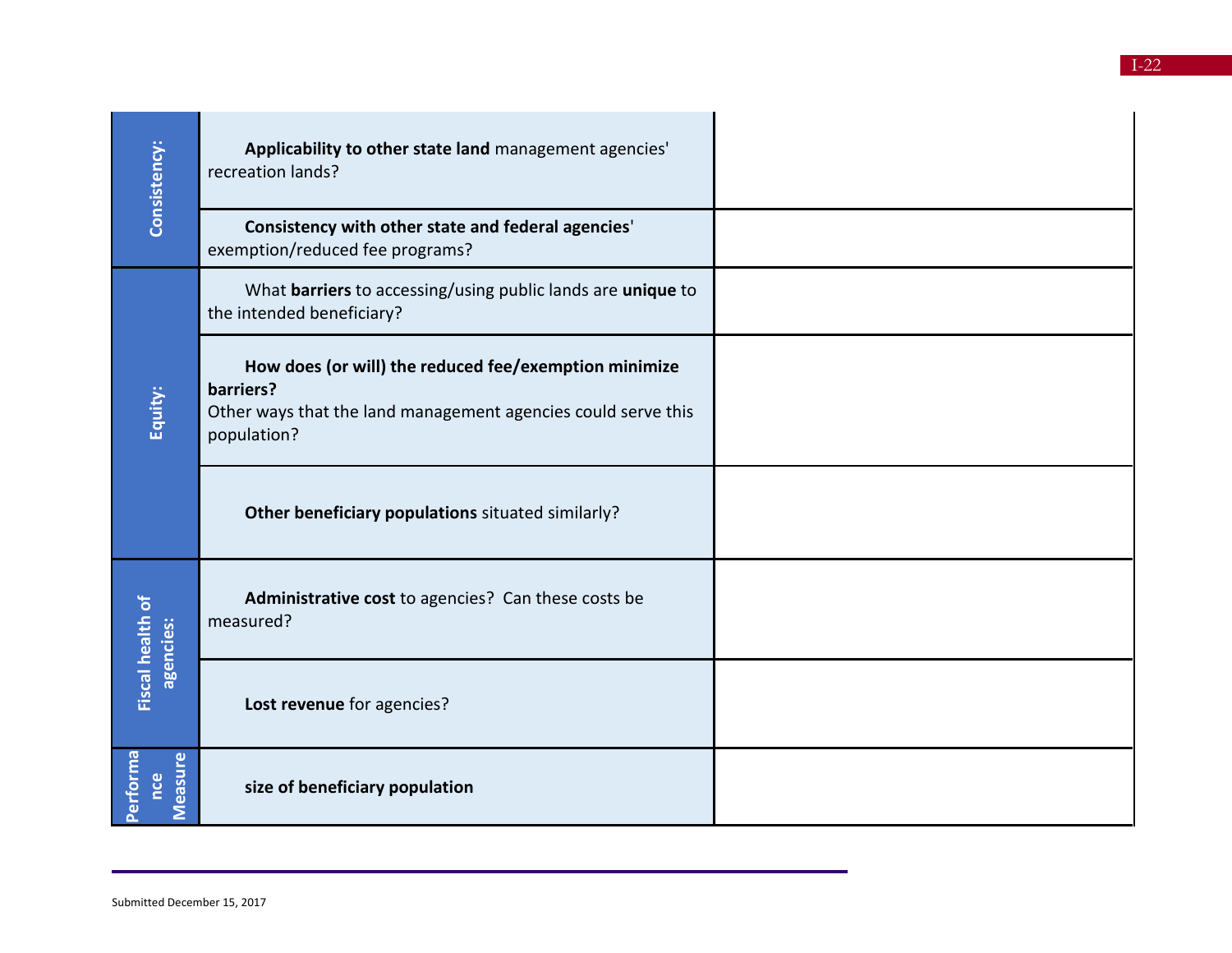| Consistency:                  | Applicability to other state land management agencies'<br>recreation lands?                                                                        |  |
|-------------------------------|----------------------------------------------------------------------------------------------------------------------------------------------------|--|
|                               | Consistency with other state and federal agencies'<br>exemption/reduced fee programs?                                                              |  |
|                               | What barriers to accessing/using public lands are unique to<br>the intended beneficiary?                                                           |  |
| Equity:                       | How does (or will) the reduced fee/exemption minimize<br>barriers?<br>Other ways that the land management agencies could serve this<br>population? |  |
|                               | Other beneficiary populations situated similarly?                                                                                                  |  |
| Fiscal health of<br>agencies: | Administrative cost to agencies? Can these costs be<br>measured?                                                                                   |  |
|                               | Lost revenue for agencies?                                                                                                                         |  |
| Performa<br>Measure<br>nce    | size of beneficiary population                                                                                                                     |  |

Submitted December 15, 2017